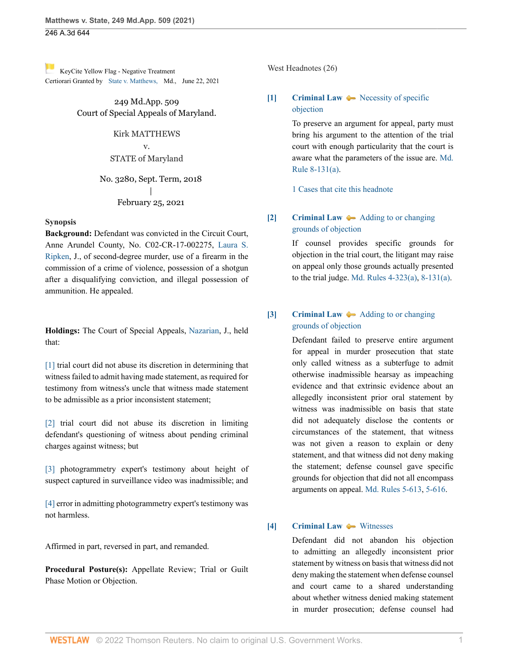[K](https://1.next.westlaw.com/Link/RelatedInformation/Flag?documentGuid=I8a5370b0e4c011eb9869f08958611d47&transitionType=Document&originationContext=docHeaderFlag&Rank=0&ppcid=93364e51ec8e4c5894a3dbbb2784bd30&contextData=(sc.UserEnteredCitation) )eyCite Yellow Flag - Negative Treatment Certiorari Granted by [State v. Matthews, M](https://www.westlaw.com/Document/I8a5370b0e4c011eb9869f08958611d47/View/FullText.html?navigationPath=RelatedInfo%2Fv4%2Fkeycite%2Fnav%2F%3ForigDocGuid%3DI5321c92077d311eba660be4ce62361b9&listSource=RelatedInfo&list=NegativeCitingReferences&rank=0&ppcid=93364e51ec8e4c5894a3dbbb2784bd30&originationContext=docHeader&transitionType=NegativeTreatment&contextData=%28sc.UserEnteredCitation%29&VR=3.0&RS=cblt1.0 )d., June 22, 2021

> 249 Md.App. 509 Court of Special Appeals of Maryland.

### Kirk MATTHEWS

v. STATE of Maryland

No. 3280, Sept. Term, 2018 | February 25, 2021

### **Synopsis**

**Background:** Defendant was convicted in the Circuit Court, Anne Arundel County, No. C02-CR-17-002275, [Laura S.](http://www.westlaw.com/Link/Document/FullText?findType=h&pubNum=176284&cite=0429763701&originatingDoc=I5321c92077d311eba660be4ce62361b9&refType=RQ&originationContext=document&vr=3.0&rs=cblt1.0&transitionType=DocumentItem&contextData=(sc.UserEnteredCitation)) [Ripken,](http://www.westlaw.com/Link/Document/FullText?findType=h&pubNum=176284&cite=0429763701&originatingDoc=I5321c92077d311eba660be4ce62361b9&refType=RQ&originationContext=document&vr=3.0&rs=cblt1.0&transitionType=DocumentItem&contextData=(sc.UserEnteredCitation)) J., of second-degree murder, use of a firearm in the commission of a crime of violence, possession of a shotgun after a disqualifying conviction, and illegal possession of ammunition. He appealed.

**Holdings:** The Court of Special Appeals, [Nazarian](http://www.westlaw.com/Link/Document/FullText?findType=h&pubNum=176284&cite=0112432501&originatingDoc=I5321c92077d311eba660be4ce62361b9&refType=RQ&originationContext=document&vr=3.0&rs=cblt1.0&transitionType=DocumentItem&contextData=(sc.UserEnteredCitation)), J., held that:

[\[1\]](#page-1-0) trial court did not abuse its discretion in determining that witness failed to admit having made statement, as required for testimony from witness's uncle that witness made statement to be admissible as a prior inconsistent statement;

[\[2\]](#page-1-1) trial court did not abuse its discretion in limiting defendant's questioning of witness about pending criminal charges against witness; but

[\[3\]](#page-3-0) photogrammetry expert's testimony about height of suspect captured in surveillance video was inadmissible; and

[\[4\]](#page-3-1) error in admitting photogrammetry expert's testimony was not harmless.

Affirmed in part, reversed in part, and remanded.

**Procedural Posture(s):** Appellate Review; Trial or Guilt Phase Motion or Objection.

West Headnotes (26)

# <span id="page-0-0"></span>**[\[1\]](#page-8-0) [Criminal Law](http://www.westlaw.com/Browse/Home/KeyNumber/110/View.html?docGuid=I5321c92077d311eba660be4ce62361b9&originationContext=document&vr=3.0&rs=cblt1.0&transitionType=DocumentItem&contextData=(sc.UserEnteredCitation))**  $\bullet\bullet$  [Necessity of specific](http://www.westlaw.com/Browse/Home/KeyNumber/110k1043(2)/View.html?docGuid=I5321c92077d311eba660be4ce62361b9&originationContext=document&vr=3.0&rs=cblt1.0&transitionType=DocumentItem&contextData=(sc.UserEnteredCitation)) [objection](http://www.westlaw.com/Browse/Home/KeyNumber/110k1043(2)/View.html?docGuid=I5321c92077d311eba660be4ce62361b9&originationContext=document&vr=3.0&rs=cblt1.0&transitionType=DocumentItem&contextData=(sc.UserEnteredCitation))

To preserve an argument for appeal, party must bring his argument to the attention of the trial court with enough particularity that the court is aware what the parameters of the issue are. [Md.](http://www.westlaw.com/Link/Document/FullText?findType=L&pubNum=1007687&cite=MDRCTSPAR8-131&originatingDoc=I5321c92077d311eba660be4ce62361b9&refType=LQ&originationContext=document&vr=3.0&rs=cblt1.0&transitionType=DocumentItem&contextData=(sc.UserEnteredCitation)) [Rule 8-131\(a\)](http://www.westlaw.com/Link/Document/FullText?findType=L&pubNum=1007687&cite=MDRCTSPAR8-131&originatingDoc=I5321c92077d311eba660be4ce62361b9&refType=LQ&originationContext=document&vr=3.0&rs=cblt1.0&transitionType=DocumentItem&contextData=(sc.UserEnteredCitation)).

[1 Cases that cite this headnote](http://www.westlaw.com/Link/RelatedInformation/DocHeadnoteLink?docGuid=I5321c92077d311eba660be4ce62361b9&headnoteId=205313469600120210604153132&originationContext=document&vr=3.0&rs=cblt1.0&transitionType=CitingReferences&contextData=(sc.UserEnteredCitation))

# <span id="page-0-1"></span>**[\[2\]](#page-8-1) [Criminal Law](http://www.westlaw.com/Browse/Home/KeyNumber/110/View.html?docGuid=I5321c92077d311eba660be4ce62361b9&originationContext=document&vr=3.0&rs=cblt1.0&transitionType=DocumentItem&contextData=(sc.UserEnteredCitation))**  $\rightarrow$  [Adding to or changing](http://www.westlaw.com/Browse/Home/KeyNumber/110k1043(3)/View.html?docGuid=I5321c92077d311eba660be4ce62361b9&originationContext=document&vr=3.0&rs=cblt1.0&transitionType=DocumentItem&contextData=(sc.UserEnteredCitation)) [grounds of objection](http://www.westlaw.com/Browse/Home/KeyNumber/110k1043(3)/View.html?docGuid=I5321c92077d311eba660be4ce62361b9&originationContext=document&vr=3.0&rs=cblt1.0&transitionType=DocumentItem&contextData=(sc.UserEnteredCitation))

If counsel provides specific grounds for objection in the trial court, the litigant may raise on appeal only those grounds actually presented to the trial judge. [Md. Rules 4-323\(a\),](http://www.westlaw.com/Link/Document/FullText?findType=L&pubNum=1007682&cite=MDRCRR4-323&originatingDoc=I5321c92077d311eba660be4ce62361b9&refType=LQ&originationContext=document&vr=3.0&rs=cblt1.0&transitionType=DocumentItem&contextData=(sc.UserEnteredCitation)) [8-131\(a\)](http://www.westlaw.com/Link/Document/FullText?findType=L&pubNum=1007687&cite=MDRCTSPAR8-131&originatingDoc=I5321c92077d311eba660be4ce62361b9&refType=LQ&originationContext=document&vr=3.0&rs=cblt1.0&transitionType=DocumentItem&contextData=(sc.UserEnteredCitation)).

## <span id="page-0-2"></span>**[\[3\]](#page-8-2) [Criminal Law](http://www.westlaw.com/Browse/Home/KeyNumber/110/View.html?docGuid=I5321c92077d311eba660be4ce62361b9&originationContext=document&vr=3.0&rs=cblt1.0&transitionType=DocumentItem&contextData=(sc.UserEnteredCitation))**  $\rightarrow$  [Adding to or changing](http://www.westlaw.com/Browse/Home/KeyNumber/110k1043(3)/View.html?docGuid=I5321c92077d311eba660be4ce62361b9&originationContext=document&vr=3.0&rs=cblt1.0&transitionType=DocumentItem&contextData=(sc.UserEnteredCitation)) [grounds of objection](http://www.westlaw.com/Browse/Home/KeyNumber/110k1043(3)/View.html?docGuid=I5321c92077d311eba660be4ce62361b9&originationContext=document&vr=3.0&rs=cblt1.0&transitionType=DocumentItem&contextData=(sc.UserEnteredCitation))

Defendant failed to preserve entire argument for appeal in murder prosecution that state only called witness as a subterfuge to admit otherwise inadmissible hearsay as impeaching evidence and that extrinsic evidence about an allegedly inconsistent prior oral statement by witness was inadmissible on basis that state did not adequately disclose the contents or circumstances of the statement, that witness was not given a reason to explain or deny statement, and that witness did not deny making the statement; defense counsel gave specific grounds for objection that did not all encompass arguments on appeal. [Md. Rules 5-613](http://www.westlaw.com/Link/Document/FullText?findType=L&pubNum=1007684&cite=MDRREVR5-613&originatingDoc=I5321c92077d311eba660be4ce62361b9&refType=LQ&originationContext=document&vr=3.0&rs=cblt1.0&transitionType=DocumentItem&contextData=(sc.UserEnteredCitation)), [5-616.](http://www.westlaw.com/Link/Document/FullText?findType=L&pubNum=1007684&cite=MDRREVR5-616&originatingDoc=I5321c92077d311eba660be4ce62361b9&refType=LQ&originationContext=document&vr=3.0&rs=cblt1.0&transitionType=DocumentItem&contextData=(sc.UserEnteredCitation))

## <span id="page-0-3"></span>**[\[4\]](#page-8-3) [Criminal Law](http://www.westlaw.com/Browse/Home/KeyNumber/110/View.html?docGuid=I5321c92077d311eba660be4ce62361b9&originationContext=document&vr=3.0&rs=cblt1.0&transitionType=DocumentItem&contextData=(sc.UserEnteredCitation))**  $\blacklozenge$  **[Witnesses](http://www.westlaw.com/Browse/Home/KeyNumber/110k1036.10/View.html?docGuid=I5321c92077d311eba660be4ce62361b9&originationContext=document&vr=3.0&rs=cblt1.0&transitionType=DocumentItem&contextData=(sc.UserEnteredCitation))**

Defendant did not abandon his objection to admitting an allegedly inconsistent prior statement by witness on basis that witness did not deny making the statement when defense counsel and court came to a shared understanding about whether witness denied making statement in murder prosecution; defense counsel had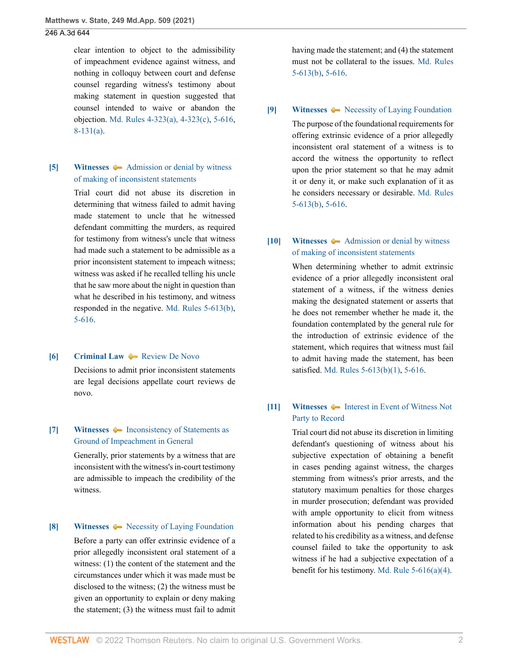clear intention to object to the admissibility of impeachment evidence against witness, and nothing in colloquy between court and defense counsel regarding witness's testimony about making statement in question suggested that counsel intended to waive or abandon the objection. [Md. Rules 4-323\(a\), 4-323\(c\)](http://www.westlaw.com/Link/Document/FullText?findType=L&pubNum=1007682&cite=MDRCRR4-323&originatingDoc=I5321c92077d311eba660be4ce62361b9&refType=LQ&originationContext=document&vr=3.0&rs=cblt1.0&transitionType=DocumentItem&contextData=(sc.UserEnteredCitation)), [5-616](http://www.westlaw.com/Link/Document/FullText?findType=L&pubNum=1007684&cite=MDRREVR5-616&originatingDoc=I5321c92077d311eba660be4ce62361b9&refType=LQ&originationContext=document&vr=3.0&rs=cblt1.0&transitionType=DocumentItem&contextData=(sc.UserEnteredCitation)), [8-131\(a\).](http://www.westlaw.com/Link/Document/FullText?findType=L&pubNum=1007687&cite=MDRCTSPAR8-131&originatingDoc=I5321c92077d311eba660be4ce62361b9&refType=LQ&originationContext=document&vr=3.0&rs=cblt1.0&transitionType=DocumentItem&contextData=(sc.UserEnteredCitation))

## <span id="page-1-0"></span>**[\[5\]](#page-9-0) [Witnesses](http://www.westlaw.com/Browse/Home/KeyNumber/410/View.html?docGuid=I5321c92077d311eba660be4ce62361b9&originationContext=document&vr=3.0&rs=cblt1.0&transitionType=DocumentItem&contextData=(sc.UserEnteredCitation))**  $\rightarrow$  [Admission or denial by witness](http://www.westlaw.com/Browse/Home/KeyNumber/410k389/View.html?docGuid=I5321c92077d311eba660be4ce62361b9&originationContext=document&vr=3.0&rs=cblt1.0&transitionType=DocumentItem&contextData=(sc.UserEnteredCitation)) [of making of inconsistent statements](http://www.westlaw.com/Browse/Home/KeyNumber/410k389/View.html?docGuid=I5321c92077d311eba660be4ce62361b9&originationContext=document&vr=3.0&rs=cblt1.0&transitionType=DocumentItem&contextData=(sc.UserEnteredCitation))

Trial court did not abuse its discretion in determining that witness failed to admit having made statement to uncle that he witnessed defendant committing the murders, as required for testimony from witness's uncle that witness had made such a statement to be admissible as a prior inconsistent statement to impeach witness; witness was asked if he recalled telling his uncle that he saw more about the night in question than what he described in his testimony, and witness responded in the negative. [Md. Rules 5-613\(b\)](http://www.westlaw.com/Link/Document/FullText?findType=L&pubNum=1007684&cite=MDRREVR5-613&originatingDoc=I5321c92077d311eba660be4ce62361b9&refType=LQ&originationContext=document&vr=3.0&rs=cblt1.0&transitionType=DocumentItem&contextData=(sc.UserEnteredCitation)), [5-616.](http://www.westlaw.com/Link/Document/FullText?findType=L&pubNum=1007684&cite=MDRREVR5-616&originatingDoc=I5321c92077d311eba660be4ce62361b9&refType=LQ&originationContext=document&vr=3.0&rs=cblt1.0&transitionType=DocumentItem&contextData=(sc.UserEnteredCitation))

#### <span id="page-1-2"></span>**[\[6\]](#page-9-1) [Criminal Law](http://www.westlaw.com/Browse/Home/KeyNumber/110/View.html?docGuid=I5321c92077d311eba660be4ce62361b9&originationContext=document&vr=3.0&rs=cblt1.0&transitionType=DocumentItem&contextData=(sc.UserEnteredCitation)) A** [Review De Novo](http://www.westlaw.com/Browse/Home/KeyNumber/110XXIV(L)13/View.html?docGuid=I5321c92077d311eba660be4ce62361b9&originationContext=document&vr=3.0&rs=cblt1.0&transitionType=DocumentItem&contextData=(sc.UserEnteredCitation))

Decisions to admit prior inconsistent statements are legal decisions appellate court reviews de novo.

### <span id="page-1-3"></span>**[\[7\]](#page-9-2) [Witnesses](http://www.westlaw.com/Browse/Home/KeyNumber/410/View.html?docGuid=I5321c92077d311eba660be4ce62361b9&originationContext=document&vr=3.0&rs=cblt1.0&transitionType=DocumentItem&contextData=(sc.UserEnteredCitation))**  $\blacklozenge$  **[Inconsistency of Statements as](http://www.westlaw.com/Browse/Home/KeyNumber/410k379/View.html?docGuid=I5321c92077d311eba660be4ce62361b9&originationContext=document&vr=3.0&rs=cblt1.0&transitionType=DocumentItem&contextData=(sc.UserEnteredCitation))** [Ground of Impeachment in General](http://www.westlaw.com/Browse/Home/KeyNumber/410k379/View.html?docGuid=I5321c92077d311eba660be4ce62361b9&originationContext=document&vr=3.0&rs=cblt1.0&transitionType=DocumentItem&contextData=(sc.UserEnteredCitation))

Generally, prior statements by a witness that are inconsistent with the witness's in-court testimony are admissible to impeach the credibility of the witness.

#### <span id="page-1-4"></span>**[\[8\]](#page-9-3) [Witnesses](http://www.westlaw.com/Browse/Home/KeyNumber/410/View.html?docGuid=I5321c92077d311eba660be4ce62361b9&originationContext=document&vr=3.0&rs=cblt1.0&transitionType=DocumentItem&contextData=(sc.UserEnteredCitation))**  $\leftarrow$  [Necessity of Laying Foundation](http://www.westlaw.com/Browse/Home/KeyNumber/410k388(2)/View.html?docGuid=I5321c92077d311eba660be4ce62361b9&originationContext=document&vr=3.0&rs=cblt1.0&transitionType=DocumentItem&contextData=(sc.UserEnteredCitation))

Before a party can offer extrinsic evidence of a prior allegedly inconsistent oral statement of a witness: (1) the content of the statement and the circumstances under which it was made must be disclosed to the witness; (2) the witness must be given an opportunity to explain or deny making the statement; (3) the witness must fail to admit having made the statement; and (4) the statement must not be collateral to the issues. [Md. Rules](http://www.westlaw.com/Link/Document/FullText?findType=L&pubNum=1007684&cite=MDRREVR5-613&originatingDoc=I5321c92077d311eba660be4ce62361b9&refType=LQ&originationContext=document&vr=3.0&rs=cblt1.0&transitionType=DocumentItem&contextData=(sc.UserEnteredCitation)) [5-613\(b\)](http://www.westlaw.com/Link/Document/FullText?findType=L&pubNum=1007684&cite=MDRREVR5-613&originatingDoc=I5321c92077d311eba660be4ce62361b9&refType=LQ&originationContext=document&vr=3.0&rs=cblt1.0&transitionType=DocumentItem&contextData=(sc.UserEnteredCitation)), [5-616.](http://www.westlaw.com/Link/Document/FullText?findType=L&pubNum=1007684&cite=MDRREVR5-616&originatingDoc=I5321c92077d311eba660be4ce62361b9&refType=LQ&originationContext=document&vr=3.0&rs=cblt1.0&transitionType=DocumentItem&contextData=(sc.UserEnteredCitation))

### <span id="page-1-5"></span>**[\[9\]](#page-9-4) [Witnesses](http://www.westlaw.com/Browse/Home/KeyNumber/410/View.html?docGuid=I5321c92077d311eba660be4ce62361b9&originationContext=document&vr=3.0&rs=cblt1.0&transitionType=DocumentItem&contextData=(sc.UserEnteredCitation))**  $\blacklozenge$  **[Necessity of Laying Foundation](http://www.westlaw.com/Browse/Home/KeyNumber/410k388(2)/View.html?docGuid=I5321c92077d311eba660be4ce62361b9&originationContext=document&vr=3.0&rs=cblt1.0&transitionType=DocumentItem&contextData=(sc.UserEnteredCitation))**

The purpose of the foundational requirements for offering extrinsic evidence of a prior allegedly inconsistent oral statement of a witness is to accord the witness the opportunity to reflect upon the prior statement so that he may admit it or deny it, or make such explanation of it as he considers necessary or desirable. [Md. Rules](http://www.westlaw.com/Link/Document/FullText?findType=L&pubNum=1007684&cite=MDRREVR5-613&originatingDoc=I5321c92077d311eba660be4ce62361b9&refType=LQ&originationContext=document&vr=3.0&rs=cblt1.0&transitionType=DocumentItem&contextData=(sc.UserEnteredCitation)) [5-613\(b\)](http://www.westlaw.com/Link/Document/FullText?findType=L&pubNum=1007684&cite=MDRREVR5-613&originatingDoc=I5321c92077d311eba660be4ce62361b9&refType=LQ&originationContext=document&vr=3.0&rs=cblt1.0&transitionType=DocumentItem&contextData=(sc.UserEnteredCitation)), [5-616.](http://www.westlaw.com/Link/Document/FullText?findType=L&pubNum=1007684&cite=MDRREVR5-616&originatingDoc=I5321c92077d311eba660be4ce62361b9&refType=LQ&originationContext=document&vr=3.0&rs=cblt1.0&transitionType=DocumentItem&contextData=(sc.UserEnteredCitation))

# <span id="page-1-6"></span>**[\[10\]](#page-9-5) [Witnesses](http://www.westlaw.com/Browse/Home/KeyNumber/410/View.html?docGuid=I5321c92077d311eba660be4ce62361b9&originationContext=document&vr=3.0&rs=cblt1.0&transitionType=DocumentItem&contextData=(sc.UserEnteredCitation))**  $\rightarrow$  [Admission or denial by witness](http://www.westlaw.com/Browse/Home/KeyNumber/410k389/View.html?docGuid=I5321c92077d311eba660be4ce62361b9&originationContext=document&vr=3.0&rs=cblt1.0&transitionType=DocumentItem&contextData=(sc.UserEnteredCitation)) [of making of inconsistent statements](http://www.westlaw.com/Browse/Home/KeyNumber/410k389/View.html?docGuid=I5321c92077d311eba660be4ce62361b9&originationContext=document&vr=3.0&rs=cblt1.0&transitionType=DocumentItem&contextData=(sc.UserEnteredCitation))

When determining whether to admit extrinsic evidence of a prior allegedly inconsistent oral statement of a witness, if the witness denies making the designated statement or asserts that he does not remember whether he made it, the foundation contemplated by the general rule for the introduction of extrinsic evidence of the statement, which requires that witness must fail to admit having made the statement, has been satisfied. [Md. Rules 5-613\(b\)\(1\),](http://www.westlaw.com/Link/Document/FullText?findType=L&pubNum=1007684&cite=MDRREVR5-613&originatingDoc=I5321c92077d311eba660be4ce62361b9&refType=LQ&originationContext=document&vr=3.0&rs=cblt1.0&transitionType=DocumentItem&contextData=(sc.UserEnteredCitation)) [5-616.](http://www.westlaw.com/Link/Document/FullText?findType=L&pubNum=1007684&cite=MDRREVR5-616&originatingDoc=I5321c92077d311eba660be4ce62361b9&refType=LQ&originationContext=document&vr=3.0&rs=cblt1.0&transitionType=DocumentItem&contextData=(sc.UserEnteredCitation))

# <span id="page-1-1"></span>**[\[11\]](#page-11-0) [Witnesses](http://www.westlaw.com/Browse/Home/KeyNumber/410/View.html?docGuid=I5321c92077d311eba660be4ce62361b9&originationContext=document&vr=3.0&rs=cblt1.0&transitionType=DocumentItem&contextData=(sc.UserEnteredCitation))**  $\blacklozenge$  **[Interest in Event of Witness Not](http://www.westlaw.com/Browse/Home/KeyNumber/410k367/View.html?docGuid=I5321c92077d311eba660be4ce62361b9&originationContext=document&vr=3.0&rs=cblt1.0&transitionType=DocumentItem&contextData=(sc.UserEnteredCitation))** [Party to Record](http://www.westlaw.com/Browse/Home/KeyNumber/410k367/View.html?docGuid=I5321c92077d311eba660be4ce62361b9&originationContext=document&vr=3.0&rs=cblt1.0&transitionType=DocumentItem&contextData=(sc.UserEnteredCitation))

Trial court did not abuse its discretion in limiting defendant's questioning of witness about his subjective expectation of obtaining a benefit in cases pending against witness, the charges stemming from witness's prior arrests, and the statutory maximum penalties for those charges in murder prosecution; defendant was provided with ample opportunity to elicit from witness information about his pending charges that related to his credibility as a witness, and defense counsel failed to take the opportunity to ask witness if he had a subjective expectation of a benefit for his testimony. [Md. Rule 5-616\(a\)\(4\)](http://www.westlaw.com/Link/Document/FullText?findType=L&pubNum=1007684&cite=MDRREVR5-616&originatingDoc=I5321c92077d311eba660be4ce62361b9&refType=LQ&originationContext=document&vr=3.0&rs=cblt1.0&transitionType=DocumentItem&contextData=(sc.UserEnteredCitation)).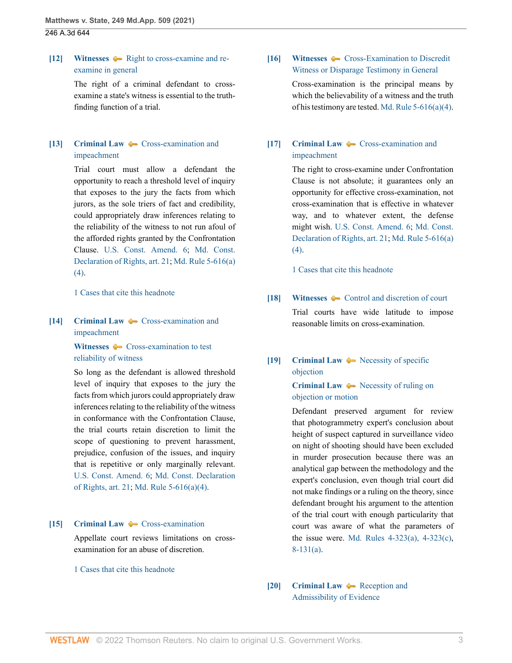<span id="page-2-0"></span>**[\[12\]](#page-11-1) [Witnesses](http://www.westlaw.com/Browse/Home/KeyNumber/410/View.html?docGuid=I5321c92077d311eba660be4ce62361b9&originationContext=document&vr=3.0&rs=cblt1.0&transitionType=DocumentItem&contextData=(sc.UserEnteredCitation))**  $\blacklozenge$  [Right to cross-examine and re](http://www.westlaw.com/Browse/Home/KeyNumber/410k266/View.html?docGuid=I5321c92077d311eba660be4ce62361b9&originationContext=document&vr=3.0&rs=cblt1.0&transitionType=DocumentItem&contextData=(sc.UserEnteredCitation))[examine in general](http://www.westlaw.com/Browse/Home/KeyNumber/410k266/View.html?docGuid=I5321c92077d311eba660be4ce62361b9&originationContext=document&vr=3.0&rs=cblt1.0&transitionType=DocumentItem&contextData=(sc.UserEnteredCitation))

> The right of a criminal defendant to crossexamine a state's witness is essential to the truthfinding function of a trial.

# <span id="page-2-1"></span>**[\[13\]](#page-11-2) [Criminal Law](http://www.westlaw.com/Browse/Home/KeyNumber/110/View.html?docGuid=I5321c92077d311eba660be4ce62361b9&originationContext=document&vr=3.0&rs=cblt1.0&transitionType=DocumentItem&contextData=(sc.UserEnteredCitation))**  $\bullet$  **[Cross-examination and](http://www.westlaw.com/Browse/Home/KeyNumber/110k662.7/View.html?docGuid=I5321c92077d311eba660be4ce62361b9&originationContext=document&vr=3.0&rs=cblt1.0&transitionType=DocumentItem&contextData=(sc.UserEnteredCitation))** [impeachment](http://www.westlaw.com/Browse/Home/KeyNumber/110k662.7/View.html?docGuid=I5321c92077d311eba660be4ce62361b9&originationContext=document&vr=3.0&rs=cblt1.0&transitionType=DocumentItem&contextData=(sc.UserEnteredCitation))

Trial court must allow a defendant the opportunity to reach a threshold level of inquiry that exposes to the jury the facts from which jurors, as the sole triers of fact and credibility, could appropriately draw inferences relating to the reliability of the witness to not run afoul of the afforded rights granted by the Confrontation Clause. [U.S. Const. Amend. 6;](http://www.westlaw.com/Link/Document/FullText?findType=L&pubNum=1000583&cite=USCOAMENDVI&originatingDoc=I5321c92077d311eba660be4ce62361b9&refType=LQ&originationContext=document&vr=3.0&rs=cblt1.0&transitionType=DocumentItem&contextData=(sc.UserEnteredCitation)) [Md. Const.](http://www.westlaw.com/Link/Document/FullText?findType=L&pubNum=1004285&cite=MDCNDECLOFRIGHTSART21&originatingDoc=I5321c92077d311eba660be4ce62361b9&refType=LQ&originationContext=document&vr=3.0&rs=cblt1.0&transitionType=DocumentItem&contextData=(sc.UserEnteredCitation)) [Declaration of Rights, art. 21](http://www.westlaw.com/Link/Document/FullText?findType=L&pubNum=1004285&cite=MDCNDECLOFRIGHTSART21&originatingDoc=I5321c92077d311eba660be4ce62361b9&refType=LQ&originationContext=document&vr=3.0&rs=cblt1.0&transitionType=DocumentItem&contextData=(sc.UserEnteredCitation)); [Md. Rule 5-616\(a\)](http://www.westlaw.com/Link/Document/FullText?findType=L&pubNum=1007684&cite=MDRREVR5-616&originatingDoc=I5321c92077d311eba660be4ce62361b9&refType=LQ&originationContext=document&vr=3.0&rs=cblt1.0&transitionType=DocumentItem&contextData=(sc.UserEnteredCitation)) [\(4\)](http://www.westlaw.com/Link/Document/FullText?findType=L&pubNum=1007684&cite=MDRREVR5-616&originatingDoc=I5321c92077d311eba660be4ce62361b9&refType=LQ&originationContext=document&vr=3.0&rs=cblt1.0&transitionType=DocumentItem&contextData=(sc.UserEnteredCitation)).

[1 Cases that cite this headnote](http://www.westlaw.com/Link/RelatedInformation/DocHeadnoteLink?docGuid=I5321c92077d311eba660be4ce62361b9&headnoteId=205313469601520210604153132&originationContext=document&vr=3.0&rs=cblt1.0&transitionType=CitingReferences&contextData=(sc.UserEnteredCitation))

# <span id="page-2-2"></span>**[\[14\]](#page-11-3) [Criminal Law](http://www.westlaw.com/Browse/Home/KeyNumber/110/View.html?docGuid=I5321c92077d311eba660be4ce62361b9&originationContext=document&vr=3.0&rs=cblt1.0&transitionType=DocumentItem&contextData=(sc.UserEnteredCitation))**  $\leftarrow$  [Cross-examination and](http://www.westlaw.com/Browse/Home/KeyNumber/110k662.7/View.html?docGuid=I5321c92077d311eba660be4ce62361b9&originationContext=document&vr=3.0&rs=cblt1.0&transitionType=DocumentItem&contextData=(sc.UserEnteredCitation)) [impeachment](http://www.westlaw.com/Browse/Home/KeyNumber/110k662.7/View.html?docGuid=I5321c92077d311eba660be4ce62361b9&originationContext=document&vr=3.0&rs=cblt1.0&transitionType=DocumentItem&contextData=(sc.UserEnteredCitation))

[Witnesses](http://www.westlaw.com/Browse/Home/KeyNumber/410/View.html?docGuid=I5321c92077d311eba660be4ce62361b9&originationContext=document&vr=3.0&rs=cblt1.0&transitionType=DocumentItem&contextData=(sc.UserEnteredCitation))  $\bullet$  [Cross-examination to test](http://www.westlaw.com/Browse/Home/KeyNumber/410k329/View.html?docGuid=I5321c92077d311eba660be4ce62361b9&originationContext=document&vr=3.0&rs=cblt1.0&transitionType=DocumentItem&contextData=(sc.UserEnteredCitation)) [reliability of witness](http://www.westlaw.com/Browse/Home/KeyNumber/410k329/View.html?docGuid=I5321c92077d311eba660be4ce62361b9&originationContext=document&vr=3.0&rs=cblt1.0&transitionType=DocumentItem&contextData=(sc.UserEnteredCitation))

So long as the defendant is allowed threshold level of inquiry that exposes to the jury the facts from which jurors could appropriately draw inferences relating to the reliability of the witness in conformance with the Confrontation Clause, the trial courts retain discretion to limit the scope of questioning to prevent harassment, prejudice, confusion of the issues, and inquiry that is repetitive or only marginally relevant. [U.S. Const. Amend. 6](http://www.westlaw.com/Link/Document/FullText?findType=L&pubNum=1000583&cite=USCOAMENDVI&originatingDoc=I5321c92077d311eba660be4ce62361b9&refType=LQ&originationContext=document&vr=3.0&rs=cblt1.0&transitionType=DocumentItem&contextData=(sc.UserEnteredCitation)); [Md. Const. Declaration](http://www.westlaw.com/Link/Document/FullText?findType=L&pubNum=1004285&cite=MDCNDECLOFRIGHTSART21&originatingDoc=I5321c92077d311eba660be4ce62361b9&refType=LQ&originationContext=document&vr=3.0&rs=cblt1.0&transitionType=DocumentItem&contextData=(sc.UserEnteredCitation)) [of Rights, art. 21;](http://www.westlaw.com/Link/Document/FullText?findType=L&pubNum=1004285&cite=MDCNDECLOFRIGHTSART21&originatingDoc=I5321c92077d311eba660be4ce62361b9&refType=LQ&originationContext=document&vr=3.0&rs=cblt1.0&transitionType=DocumentItem&contextData=(sc.UserEnteredCitation)) [Md. Rule 5-616\(a\)\(4\).](http://www.westlaw.com/Link/Document/FullText?findType=L&pubNum=1007684&cite=MDRREVR5-616&originatingDoc=I5321c92077d311eba660be4ce62361b9&refType=LQ&originationContext=document&vr=3.0&rs=cblt1.0&transitionType=DocumentItem&contextData=(sc.UserEnteredCitation))

### <span id="page-2-3"></span>**[\[15\]](#page-11-4) [Criminal Law](http://www.westlaw.com/Browse/Home/KeyNumber/110/View.html?docGuid=I5321c92077d311eba660be4ce62361b9&originationContext=document&vr=3.0&rs=cblt1.0&transitionType=DocumentItem&contextData=(sc.UserEnteredCitation))**  $\bullet$  **[Cross-examination](http://www.westlaw.com/Browse/Home/KeyNumber/110k1153.18(2)/View.html?docGuid=I5321c92077d311eba660be4ce62361b9&originationContext=document&vr=3.0&rs=cblt1.0&transitionType=DocumentItem&contextData=(sc.UserEnteredCitation))**

Appellate court reviews limitations on crossexamination for an abuse of discretion.

### [1 Cases that cite this headnote](http://www.westlaw.com/Link/RelatedInformation/DocHeadnoteLink?docGuid=I5321c92077d311eba660be4ce62361b9&headnoteId=205313469601720210604153132&originationContext=document&vr=3.0&rs=cblt1.0&transitionType=CitingReferences&contextData=(sc.UserEnteredCitation))

# <span id="page-2-4"></span>**[\[16\]](#page-11-5) [Witnesses](http://www.westlaw.com/Browse/Home/KeyNumber/410/View.html?docGuid=I5321c92077d311eba660be4ce62361b9&originationContext=document&vr=3.0&rs=cblt1.0&transitionType=DocumentItem&contextData=(sc.UserEnteredCitation))**  $\leftarrow$  [Cross-Examination to Discredit](http://www.westlaw.com/Browse/Home/KeyNumber/410k330/View.html?docGuid=I5321c92077d311eba660be4ce62361b9&originationContext=document&vr=3.0&rs=cblt1.0&transitionType=DocumentItem&contextData=(sc.UserEnteredCitation)) [Witness or Disparage Testimony in General](http://www.westlaw.com/Browse/Home/KeyNumber/410k330/View.html?docGuid=I5321c92077d311eba660be4ce62361b9&originationContext=document&vr=3.0&rs=cblt1.0&transitionType=DocumentItem&contextData=(sc.UserEnteredCitation))

Cross-examination is the principal means by which the believability of a witness and the truth of his testimony are tested. [Md. Rule 5-616\(a\)\(4\)](http://www.westlaw.com/Link/Document/FullText?findType=L&pubNum=1007684&cite=MDRREVR5-616&originatingDoc=I5321c92077d311eba660be4ce62361b9&refType=LQ&originationContext=document&vr=3.0&rs=cblt1.0&transitionType=DocumentItem&contextData=(sc.UserEnteredCitation)).

## <span id="page-2-5"></span>**[\[17\]](#page-11-6) [Criminal Law](http://www.westlaw.com/Browse/Home/KeyNumber/110/View.html?docGuid=I5321c92077d311eba660be4ce62361b9&originationContext=document&vr=3.0&rs=cblt1.0&transitionType=DocumentItem&contextData=(sc.UserEnteredCitation))**  $\bullet$  **[Cross-examination and](http://www.westlaw.com/Browse/Home/KeyNumber/110k662.7/View.html?docGuid=I5321c92077d311eba660be4ce62361b9&originationContext=document&vr=3.0&rs=cblt1.0&transitionType=DocumentItem&contextData=(sc.UserEnteredCitation))** [impeachment](http://www.westlaw.com/Browse/Home/KeyNumber/110k662.7/View.html?docGuid=I5321c92077d311eba660be4ce62361b9&originationContext=document&vr=3.0&rs=cblt1.0&transitionType=DocumentItem&contextData=(sc.UserEnteredCitation))

The right to cross-examine under Confrontation Clause is not absolute; it guarantees only an opportunity for effective cross-examination, not cross-examination that is effective in whatever way, and to whatever extent, the defense might wish. [U.S. Const. Amend. 6](http://www.westlaw.com/Link/Document/FullText?findType=L&pubNum=1000583&cite=USCOAMENDVI&originatingDoc=I5321c92077d311eba660be4ce62361b9&refType=LQ&originationContext=document&vr=3.0&rs=cblt1.0&transitionType=DocumentItem&contextData=(sc.UserEnteredCitation)); [Md. Const.](http://www.westlaw.com/Link/Document/FullText?findType=L&pubNum=1004285&cite=MDCNDECLOFRIGHTSART21&originatingDoc=I5321c92077d311eba660be4ce62361b9&refType=LQ&originationContext=document&vr=3.0&rs=cblt1.0&transitionType=DocumentItem&contextData=(sc.UserEnteredCitation)) [Declaration of Rights, art. 21](http://www.westlaw.com/Link/Document/FullText?findType=L&pubNum=1004285&cite=MDCNDECLOFRIGHTSART21&originatingDoc=I5321c92077d311eba660be4ce62361b9&refType=LQ&originationContext=document&vr=3.0&rs=cblt1.0&transitionType=DocumentItem&contextData=(sc.UserEnteredCitation)); [Md. Rule 5-616\(a\)](http://www.westlaw.com/Link/Document/FullText?findType=L&pubNum=1007684&cite=MDRREVR5-616&originatingDoc=I5321c92077d311eba660be4ce62361b9&refType=LQ&originationContext=document&vr=3.0&rs=cblt1.0&transitionType=DocumentItem&contextData=(sc.UserEnteredCitation)) [\(4\)](http://www.westlaw.com/Link/Document/FullText?findType=L&pubNum=1007684&cite=MDRREVR5-616&originatingDoc=I5321c92077d311eba660be4ce62361b9&refType=LQ&originationContext=document&vr=3.0&rs=cblt1.0&transitionType=DocumentItem&contextData=(sc.UserEnteredCitation)).

[1 Cases that cite this headnote](http://www.westlaw.com/Link/RelatedInformation/DocHeadnoteLink?docGuid=I5321c92077d311eba660be4ce62361b9&headnoteId=205313469601920210604153132&originationContext=document&vr=3.0&rs=cblt1.0&transitionType=CitingReferences&contextData=(sc.UserEnteredCitation))

<span id="page-2-6"></span>**[\[18\]](#page-11-7) [Witnesses](http://www.westlaw.com/Browse/Home/KeyNumber/410/View.html?docGuid=I5321c92077d311eba660be4ce62361b9&originationContext=document&vr=3.0&rs=cblt1.0&transitionType=DocumentItem&contextData=(sc.UserEnteredCitation))**  $\blacklozenge$  **[Control and discretion of court](http://www.westlaw.com/Browse/Home/KeyNumber/410k267/View.html?docGuid=I5321c92077d311eba660be4ce62361b9&originationContext=document&vr=3.0&rs=cblt1.0&transitionType=DocumentItem&contextData=(sc.UserEnteredCitation))** Trial courts have wide latitude to impose reasonable limits on cross-examination.

## <span id="page-2-7"></span>**[\[19\]](#page-14-0) [Criminal Law](http://www.westlaw.com/Browse/Home/KeyNumber/110/View.html?docGuid=I5321c92077d311eba660be4ce62361b9&originationContext=document&vr=3.0&rs=cblt1.0&transitionType=DocumentItem&contextData=(sc.UserEnteredCitation))**  $\bullet\bullet$  [Necessity of specific](http://www.westlaw.com/Browse/Home/KeyNumber/110k1043(2)/View.html?docGuid=I5321c92077d311eba660be4ce62361b9&originationContext=document&vr=3.0&rs=cblt1.0&transitionType=DocumentItem&contextData=(sc.UserEnteredCitation)) [objection](http://www.westlaw.com/Browse/Home/KeyNumber/110k1043(2)/View.html?docGuid=I5321c92077d311eba660be4ce62361b9&originationContext=document&vr=3.0&rs=cblt1.0&transitionType=DocumentItem&contextData=(sc.UserEnteredCitation))

## **[Criminal Law](http://www.westlaw.com/Browse/Home/KeyNumber/110/View.html?docGuid=I5321c92077d311eba660be4ce62361b9&originationContext=document&vr=3.0&rs=cblt1.0&transitionType=DocumentItem&contextData=(sc.UserEnteredCitation))**  $\rightarrow$  [Necessity of ruling on](http://www.westlaw.com/Browse/Home/KeyNumber/110k1045/View.html?docGuid=I5321c92077d311eba660be4ce62361b9&originationContext=document&vr=3.0&rs=cblt1.0&transitionType=DocumentItem&contextData=(sc.UserEnteredCitation)) [objection or motion](http://www.westlaw.com/Browse/Home/KeyNumber/110k1045/View.html?docGuid=I5321c92077d311eba660be4ce62361b9&originationContext=document&vr=3.0&rs=cblt1.0&transitionType=DocumentItem&contextData=(sc.UserEnteredCitation))

Defendant preserved argument for review that photogrammetry expert's conclusion about height of suspect captured in surveillance video on night of shooting should have been excluded in murder prosecution because there was an analytical gap between the methodology and the expert's conclusion, even though trial court did not make findings or a ruling on the theory, since defendant brought his argument to the attention of the trial court with enough particularity that court was aware of what the parameters of the issue were. [Md. Rules 4-323\(a\), 4-323\(c\)](http://www.westlaw.com/Link/Document/FullText?findType=L&pubNum=1007682&cite=MDRCRR4-323&originatingDoc=I5321c92077d311eba660be4ce62361b9&refType=LQ&originationContext=document&vr=3.0&rs=cblt1.0&transitionType=DocumentItem&contextData=(sc.UserEnteredCitation)), [8-131\(a\).](http://www.westlaw.com/Link/Document/FullText?findType=L&pubNum=1007687&cite=MDRCTSPAR8-131&originatingDoc=I5321c92077d311eba660be4ce62361b9&refType=LQ&originationContext=document&vr=3.0&rs=cblt1.0&transitionType=DocumentItem&contextData=(sc.UserEnteredCitation))

## <span id="page-2-8"></span>**[\[20\]](#page-14-1) [Criminal Law](http://www.westlaw.com/Browse/Home/KeyNumber/110/View.html?docGuid=I5321c92077d311eba660be4ce62361b9&originationContext=document&vr=3.0&rs=cblt1.0&transitionType=DocumentItem&contextData=(sc.UserEnteredCitation))**  $\rightarrow$  [Reception and](http://www.westlaw.com/Browse/Home/KeyNumber/110k1153/View.html?docGuid=I5321c92077d311eba660be4ce62361b9&originationContext=document&vr=3.0&rs=cblt1.0&transitionType=DocumentItem&contextData=(sc.UserEnteredCitation)) [Admissibility of Evidence](http://www.westlaw.com/Browse/Home/KeyNumber/110k1153/View.html?docGuid=I5321c92077d311eba660be4ce62361b9&originationContext=document&vr=3.0&rs=cblt1.0&transitionType=DocumentItem&contextData=(sc.UserEnteredCitation))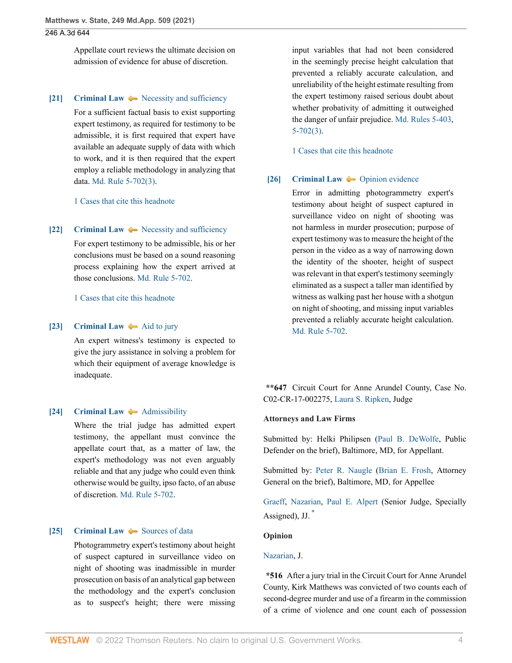Appellate court reviews the ultimate decision on admission of evidence for abuse of discretion.

#### <span id="page-3-2"></span>**[\[21\]](#page-14-2) [Criminal Law](http://www.westlaw.com/Browse/Home/KeyNumber/110/View.html?docGuid=I5321c92077d311eba660be4ce62361b9&originationContext=document&vr=3.0&rs=cblt1.0&transitionType=DocumentItem&contextData=(sc.UserEnteredCitation))**  $\rightarrow$  [Necessity and sufficiency](http://www.westlaw.com/Browse/Home/KeyNumber/110k486(2)/View.html?docGuid=I5321c92077d311eba660be4ce62361b9&originationContext=document&vr=3.0&rs=cblt1.0&transitionType=DocumentItem&contextData=(sc.UserEnteredCitation))

For a sufficient factual basis to exist supporting expert testimony, as required for testimony to be admissible, it is first required that expert have available an adequate supply of data with which to work, and it is then required that the expert employ a reliable methodology in analyzing that data. [Md. Rule 5-702\(3\)](http://www.westlaw.com/Link/Document/FullText?findType=L&pubNum=1007684&cite=MDRREVR5-702&originatingDoc=I5321c92077d311eba660be4ce62361b9&refType=LQ&originationContext=document&vr=3.0&rs=cblt1.0&transitionType=DocumentItem&contextData=(sc.UserEnteredCitation)).

[1 Cases that cite this headnote](http://www.westlaw.com/Link/RelatedInformation/DocHeadnoteLink?docGuid=I5321c92077d311eba660be4ce62361b9&headnoteId=205313469602320210604153132&originationContext=document&vr=3.0&rs=cblt1.0&transitionType=CitingReferences&contextData=(sc.UserEnteredCitation))

#### <span id="page-3-3"></span>**[\[22\]](#page-14-3) [Criminal Law](http://www.westlaw.com/Browse/Home/KeyNumber/110/View.html?docGuid=I5321c92077d311eba660be4ce62361b9&originationContext=document&vr=3.0&rs=cblt1.0&transitionType=DocumentItem&contextData=(sc.UserEnteredCitation))**  $\rightarrow$  [Necessity and sufficiency](http://www.westlaw.com/Browse/Home/KeyNumber/110k486(2)/View.html?docGuid=I5321c92077d311eba660be4ce62361b9&originationContext=document&vr=3.0&rs=cblt1.0&transitionType=DocumentItem&contextData=(sc.UserEnteredCitation))

For expert testimony to be admissible, his or her conclusions must be based on a sound reasoning process explaining how the expert arrived at those conclusions. [Md. Rule 5-702.](http://www.westlaw.com/Link/Document/FullText?findType=L&pubNum=1007684&cite=MDRREVR5-702&originatingDoc=I5321c92077d311eba660be4ce62361b9&refType=LQ&originationContext=document&vr=3.0&rs=cblt1.0&transitionType=DocumentItem&contextData=(sc.UserEnteredCitation))

[1 Cases that cite this headnote](http://www.westlaw.com/Link/RelatedInformation/DocHeadnoteLink?docGuid=I5321c92077d311eba660be4ce62361b9&headnoteId=205313469602420210604153132&originationContext=document&vr=3.0&rs=cblt1.0&transitionType=CitingReferences&contextData=(sc.UserEnteredCitation))

#### <span id="page-3-4"></span>**[\[23\]](#page-14-4) [Criminal Law](http://www.westlaw.com/Browse/Home/KeyNumber/110/View.html?docGuid=I5321c92077d311eba660be4ce62361b9&originationContext=document&vr=3.0&rs=cblt1.0&transitionType=DocumentItem&contextData=(sc.UserEnteredCitation))**  $\blacktriangleright$  [Aid to jury](http://www.westlaw.com/Browse/Home/KeyNumber/110k469.1/View.html?docGuid=I5321c92077d311eba660be4ce62361b9&originationContext=document&vr=3.0&rs=cblt1.0&transitionType=DocumentItem&contextData=(sc.UserEnteredCitation))

An expert witness's testimony is expected to give the jury assistance in solving a problem for which their equipment of average knowledge is inadequate.

#### <span id="page-3-5"></span>**[\[24\]](#page-14-5) [Criminal Law](http://www.westlaw.com/Browse/Home/KeyNumber/110/View.html?docGuid=I5321c92077d311eba660be4ce62361b9&originationContext=document&vr=3.0&rs=cblt1.0&transitionType=DocumentItem&contextData=(sc.UserEnteredCitation))**  $\rightarrow$  [Admissibility](http://www.westlaw.com/Browse/Home/KeyNumber/110k1153.12(3)/View.html?docGuid=I5321c92077d311eba660be4ce62361b9&originationContext=document&vr=3.0&rs=cblt1.0&transitionType=DocumentItem&contextData=(sc.UserEnteredCitation))

Where the trial judge has admitted expert testimony, the appellant must convince the appellate court that, as a matter of law, the expert's methodology was not even arguably reliable and that any judge who could even think otherwise would be guilty, ipso facto, of an abuse of discretion. [Md. Rule 5-702](http://www.westlaw.com/Link/Document/FullText?findType=L&pubNum=1007684&cite=MDRREVR5-702&originatingDoc=I5321c92077d311eba660be4ce62361b9&refType=LQ&originationContext=document&vr=3.0&rs=cblt1.0&transitionType=DocumentItem&contextData=(sc.UserEnteredCitation)).

## <span id="page-3-0"></span>**[\[25\]](#page-15-0) [Criminal Law](http://www.westlaw.com/Browse/Home/KeyNumber/110/View.html?docGuid=I5321c92077d311eba660be4ce62361b9&originationContext=document&vr=3.0&rs=cblt1.0&transitionType=DocumentItem&contextData=(sc.UserEnteredCitation))**  $\rightarrow$  [Sources of data](http://www.westlaw.com/Browse/Home/KeyNumber/110k486(4)/View.html?docGuid=I5321c92077d311eba660be4ce62361b9&originationContext=document&vr=3.0&rs=cblt1.0&transitionType=DocumentItem&contextData=(sc.UserEnteredCitation))

Photogrammetry expert's testimony about height of suspect captured in surveillance video on night of shooting was inadmissible in murder prosecution on basis of an analytical gap between the methodology and the expert's conclusion as to suspect's height; there were missing

input variables that had not been considered in the seemingly precise height calculation that prevented a reliably accurate calculation, and unreliability of the height estimate resulting from the expert testimony raised serious doubt about whether probativity of admitting it outweighed the danger of unfair prejudice. [Md. Rules 5-403](http://www.westlaw.com/Link/Document/FullText?findType=L&pubNum=1007684&cite=MDRREVR5-403&originatingDoc=I5321c92077d311eba660be4ce62361b9&refType=LQ&originationContext=document&vr=3.0&rs=cblt1.0&transitionType=DocumentItem&contextData=(sc.UserEnteredCitation)), [5-702\(3\)](http://www.westlaw.com/Link/Document/FullText?findType=L&pubNum=1007684&cite=MDRREVR5-702&originatingDoc=I5321c92077d311eba660be4ce62361b9&refType=LQ&originationContext=document&vr=3.0&rs=cblt1.0&transitionType=DocumentItem&contextData=(sc.UserEnteredCitation)).

[1 Cases that cite this headnote](http://www.westlaw.com/Link/RelatedInformation/DocHeadnoteLink?docGuid=I5321c92077d311eba660be4ce62361b9&headnoteId=205313469602720210604153132&originationContext=document&vr=3.0&rs=cblt1.0&transitionType=CitingReferences&contextData=(sc.UserEnteredCitation))

#### <span id="page-3-1"></span>**[\[26\]](#page-15-1) [Criminal Law](http://www.westlaw.com/Browse/Home/KeyNumber/110/View.html?docGuid=I5321c92077d311eba660be4ce62361b9&originationContext=document&vr=3.0&rs=cblt1.0&transitionType=DocumentItem&contextData=(sc.UserEnteredCitation))**  $\bullet$  **[Opinion evidence](http://www.westlaw.com/Browse/Home/KeyNumber/110k1169.9/View.html?docGuid=I5321c92077d311eba660be4ce62361b9&originationContext=document&vr=3.0&rs=cblt1.0&transitionType=DocumentItem&contextData=(sc.UserEnteredCitation))**

Error in admitting photogrammetry expert's testimony about height of suspect captured in surveillance video on night of shooting was not harmless in murder prosecution; purpose of expert testimony was to measure the height of the person in the video as a way of narrowing down the identity of the shooter, height of suspect was relevant in that expert's testimony seemingly eliminated as a suspect a taller man identified by witness as walking past her house with a shotgun on night of shooting, and missing input variables prevented a reliably accurate height calculation. [Md. Rule 5-702](http://www.westlaw.com/Link/Document/FullText?findType=L&pubNum=1007684&cite=MDRREVR5-702&originatingDoc=I5321c92077d311eba660be4ce62361b9&refType=LQ&originationContext=document&vr=3.0&rs=cblt1.0&transitionType=DocumentItem&contextData=(sc.UserEnteredCitation)).

**\*\*647** Circuit Court for Anne Arundel County, Case No. C02-CR-17-002275, [Laura S. Ripken](http://www.westlaw.com/Link/Document/FullText?findType=h&pubNum=176284&cite=0429763701&originatingDoc=I5321c92077d311eba660be4ce62361b9&refType=RQ&originationContext=document&vr=3.0&rs=cblt1.0&transitionType=DocumentItem&contextData=(sc.UserEnteredCitation)), Judge

#### **Attorneys and Law Firms**

Submitted by: Helki Philipsen ([Paul B. DeWolfe,](http://www.westlaw.com/Link/Document/FullText?findType=h&pubNum=176284&cite=0276421001&originatingDoc=I5321c92077d311eba660be4ce62361b9&refType=RQ&originationContext=document&vr=3.0&rs=cblt1.0&transitionType=DocumentItem&contextData=(sc.UserEnteredCitation)) Public Defender on the brief), Baltimore, MD, for Appellant.

Submitted by: [Peter R. Naugle](http://www.westlaw.com/Link/Document/FullText?findType=h&pubNum=176284&cite=0503232599&originatingDoc=I5321c92077d311eba660be4ce62361b9&refType=RQ&originationContext=document&vr=3.0&rs=cblt1.0&transitionType=DocumentItem&contextData=(sc.UserEnteredCitation)) [\(Brian E. Frosh,](http://www.westlaw.com/Link/Document/FullText?findType=h&pubNum=176284&cite=0161972801&originatingDoc=I5321c92077d311eba660be4ce62361b9&refType=RQ&originationContext=document&vr=3.0&rs=cblt1.0&transitionType=DocumentItem&contextData=(sc.UserEnteredCitation)) Attorney General on the brief), Baltimore, MD, for Appellee

<span id="page-3-6"></span>[Graeff,](http://www.westlaw.com/Link/Document/FullText?findType=h&pubNum=176284&cite=0219535201&originatingDoc=I5321c92077d311eba660be4ce62361b9&refType=RQ&originationContext=document&vr=3.0&rs=cblt1.0&transitionType=DocumentItem&contextData=(sc.UserEnteredCitation)) [Nazarian,](http://www.westlaw.com/Link/Document/FullText?findType=h&pubNum=176284&cite=0112432501&originatingDoc=I5321c92077d311eba660be4ce62361b9&refType=RQ&originationContext=document&vr=3.0&rs=cblt1.0&transitionType=DocumentItem&contextData=(sc.UserEnteredCitation)) [Paul E. Alpert](http://www.westlaw.com/Link/Document/FullText?findType=h&pubNum=176284&cite=0249400102&originatingDoc=I5321c92077d311eba660be4ce62361b9&refType=RQ&originationContext=document&vr=3.0&rs=cblt1.0&transitionType=DocumentItem&contextData=(sc.UserEnteredCitation)) (Senior Judge, Specially Assigned), JJ. [\\*](#page-15-2)

#### **Opinion**

#### [Nazarian](http://www.westlaw.com/Link/Document/FullText?findType=h&pubNum=176284&cite=0112432501&originatingDoc=I5321c92077d311eba660be4ce62361b9&refType=RQ&originationContext=document&vr=3.0&rs=cblt1.0&transitionType=DocumentItem&contextData=(sc.UserEnteredCitation)), J.

**\*516** After a jury trial in the Circuit Court for Anne Arundel County, Kirk Matthews was convicted of two counts each of second-degree murder and use of a firearm in the commission of a crime of violence and one count each of possession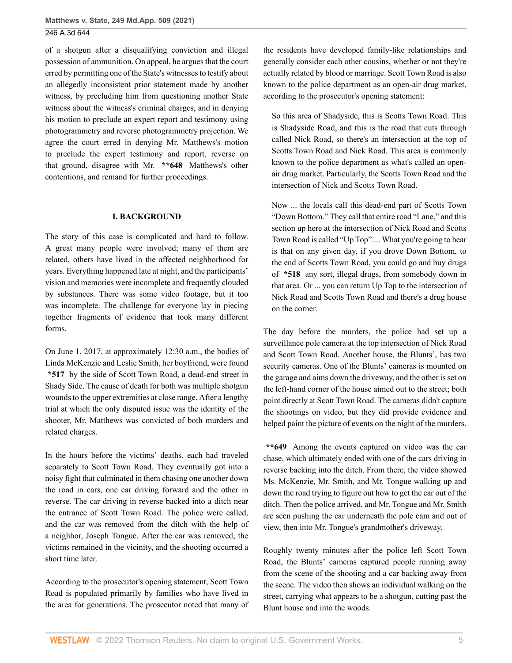of a shotgun after a disqualifying conviction and illegal possession of ammunition. On appeal, he argues that the court erred by permitting one of the State's witnesses to testify about an allegedly inconsistent prior statement made by another witness, by precluding him from questioning another State witness about the witness's criminal charges, and in denying his motion to preclude an expert report and testimony using photogrammetry and reverse photogrammetry projection. We agree the court erred in denying Mr. Matthews's motion to preclude the expert testimony and report, reverse on that ground, disagree with Mr. **\*\*648** Matthews's other contentions, and remand for further proceedings.

#### **I. BACKGROUND**

The story of this case is complicated and hard to follow. A great many people were involved; many of them are related, others have lived in the affected neighborhood for years. Everything happened late at night, and the participants' vision and memories were incomplete and frequently clouded by substances. There was some video footage, but it too was incomplete. The challenge for everyone lay in piecing together fragments of evidence that took many different forms.

On June 1, 2017, at approximately 12:30 a.m., the bodies of Linda McKenzie and Leslie Smith, her boyfriend, were found **\*517** by the side of Scott Town Road, a dead-end street in Shady Side. The cause of death for both was multiple shotgun wounds to the upper extremities at close range. After a lengthy trial at which the only disputed issue was the identity of the shooter, Mr. Matthews was convicted of both murders and related charges.

In the hours before the victims' deaths, each had traveled separately to Scott Town Road. They eventually got into a noisy fight that culminated in them chasing one another down the road in cars, one car driving forward and the other in reverse. The car driving in reverse backed into a ditch near the entrance of Scott Town Road. The police were called, and the car was removed from the ditch with the help of a neighbor, Joseph Tongue. After the car was removed, the victims remained in the vicinity, and the shooting occurred a short time later.

According to the prosecutor's opening statement, Scott Town Road is populated primarily by families who have lived in the area for generations. The prosecutor noted that many of the residents have developed family-like relationships and generally consider each other cousins, whether or not they're actually related by blood or marriage. Scott Town Road is also known to the police department as an open-air drug market, according to the prosecutor's opening statement:

So this area of Shadyside, this is Scotts Town Road. This is Shadyside Road, and this is the road that cuts through called Nick Road, so there's an intersection at the top of Scotts Town Road and Nick Road. This area is commonly known to the police department as what's called an openair drug market. Particularly, the Scotts Town Road and the intersection of Nick and Scotts Town Road.

Now ... the locals call this dead-end part of Scotts Town "Down Bottom." They call that entire road "Lane," and this section up here at the intersection of Nick Road and Scotts Town Road is called "Up Top".... What you're going to hear is that on any given day, if you drove Down Bottom, to the end of Scotts Town Road, you could go and buy drugs of **\*518** any sort, illegal drugs, from somebody down in that area. Or ... you can return Up Top to the intersection of Nick Road and Scotts Town Road and there's a drug house on the corner.

The day before the murders, the police had set up a surveillance pole camera at the top intersection of Nick Road and Scott Town Road. Another house, the Blunts', has two security cameras. One of the Blunts' cameras is mounted on the garage and aims down the driveway, and the other is set on the left-hand corner of the house aimed out to the street; both point directly at Scott Town Road. The cameras didn't capture the shootings on video, but they did provide evidence and helped paint the picture of events on the night of the murders.

**\*\*649** Among the events captured on video was the car chase, which ultimately ended with one of the cars driving in reverse backing into the ditch. From there, the video showed Ms. McKenzie, Mr. Smith, and Mr. Tongue walking up and down the road trying to figure out how to get the car out of the ditch. Then the police arrived, and Mr. Tongue and Mr. Smith are seen pushing the car underneath the pole cam and out of view, then into Mr. Tongue's grandmother's driveway.

Roughly twenty minutes after the police left Scott Town Road, the Blunts' cameras captured people running away from the scene of the shooting and a car backing away from the scene. The video then shows an individual walking on the street, carrying what appears to be a shotgun, cutting past the Blunt house and into the woods.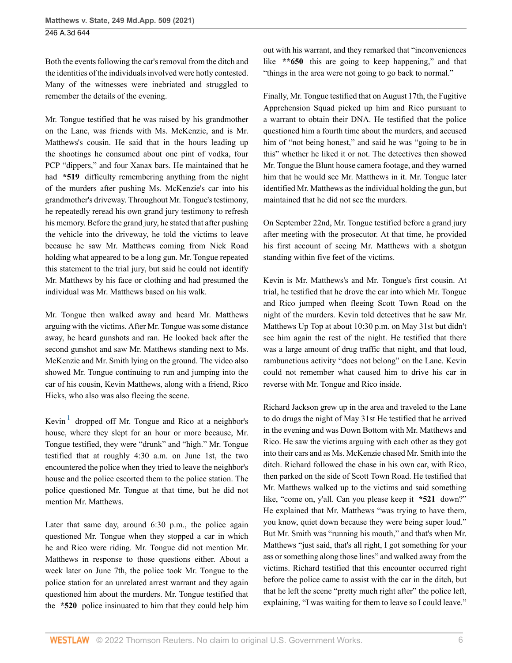Both the events following the car's removal from the ditch and the identities of the individuals involved were hotly contested. Many of the witnesses were inebriated and struggled to remember the details of the evening.

Mr. Tongue testified that he was raised by his grandmother on the Lane, was friends with Ms. McKenzie, and is Mr. Matthews's cousin. He said that in the hours leading up the shootings he consumed about one pint of vodka, four PCP "dippers," and four Xanax bars. He maintained that he had **\*519** difficulty remembering anything from the night of the murders after pushing Ms. McKenzie's car into his grandmother's driveway. Throughout Mr. Tongue's testimony, he repeatedly reread his own grand jury testimony to refresh his memory. Before the grand jury, he stated that after pushing the vehicle into the driveway, he told the victims to leave because he saw Mr. Matthews coming from Nick Road holding what appeared to be a long gun. Mr. Tongue repeated this statement to the trial jury, but said he could not identify Mr. Matthews by his face or clothing and had presumed the individual was Mr. Matthews based on his walk.

Mr. Tongue then walked away and heard Mr. Matthews arguing with the victims. After Mr. Tongue was some distance away, he heard gunshots and ran. He looked back after the second gunshot and saw Mr. Matthews standing next to Ms. McKenzie and Mr. Smith lying on the ground. The video also showed Mr. Tongue continuing to run and jumping into the car of his cousin, Kevin Matthews, along with a friend, Rico Hicks, who also was also fleeing the scene.

<span id="page-5-0"></span>Kevin<sup>[1](#page-15-3)</sup> dropped off Mr. Tongue and Rico at a neighbor's house, where they slept for an hour or more because, Mr. Tongue testified, they were "drunk" and "high." Mr. Tongue testified that at roughly 4:30 a.m. on June 1st, the two encountered the police when they tried to leave the neighbor's house and the police escorted them to the police station. The police questioned Mr. Tongue at that time, but he did not mention Mr. Matthews.

Later that same day, around 6:30 p.m., the police again questioned Mr. Tongue when they stopped a car in which he and Rico were riding. Mr. Tongue did not mention Mr. Matthews in response to those questions either. About a week later on June 7th, the police took Mr. Tongue to the police station for an unrelated arrest warrant and they again questioned him about the murders. Mr. Tongue testified that the **\*520** police insinuated to him that they could help him out with his warrant, and they remarked that "inconveniences like \*\*650 this are going to keep happening," and that "things in the area were not going to go back to normal."

Finally, Mr. Tongue testified that on August 17th, the Fugitive Apprehension Squad picked up him and Rico pursuant to a warrant to obtain their DNA. He testified that the police questioned him a fourth time about the murders, and accused him of "not being honest," and said he was "going to be in this" whether he liked it or not. The detectives then showed Mr. Tongue the Blunt house camera footage, and they warned him that he would see Mr. Matthews in it. Mr. Tongue later identified Mr. Matthews as the individual holding the gun, but maintained that he did not see the murders.

On September 22nd, Mr. Tongue testified before a grand jury after meeting with the prosecutor. At that time, he provided his first account of seeing Mr. Matthews with a shotgun standing within five feet of the victims.

Kevin is Mr. Matthews's and Mr. Tongue's first cousin. At trial, he testified that he drove the car into which Mr. Tongue and Rico jumped when fleeing Scott Town Road on the night of the murders. Kevin told detectives that he saw Mr. Matthews Up Top at about 10:30 p.m. on May 31st but didn't see him again the rest of the night. He testified that there was a large amount of drug traffic that night, and that loud, rambunctious activity "does not belong" on the Lane. Kevin could not remember what caused him to drive his car in reverse with Mr. Tongue and Rico inside.

Richard Jackson grew up in the area and traveled to the Lane to do drugs the night of May 31st He testified that he arrived in the evening and was Down Bottom with Mr. Matthews and Rico. He saw the victims arguing with each other as they got into their cars and as Ms. McKenzie chased Mr. Smith into the ditch. Richard followed the chase in his own car, with Rico, then parked on the side of Scott Town Road. He testified that Mr. Matthews walked up to the victims and said something like, "come on, y'all. Can you please keep it **\*521** down?" He explained that Mr. Matthews "was trying to have them, you know, quiet down because they were being super loud." But Mr. Smith was "running his mouth," and that's when Mr. Matthews "just said, that's all right, I got something for your ass or something along those lines" and walked away from the victims. Richard testified that this encounter occurred right before the police came to assist with the car in the ditch, but that he left the scene "pretty much right after" the police left, explaining, "I was waiting for them to leave so I could leave."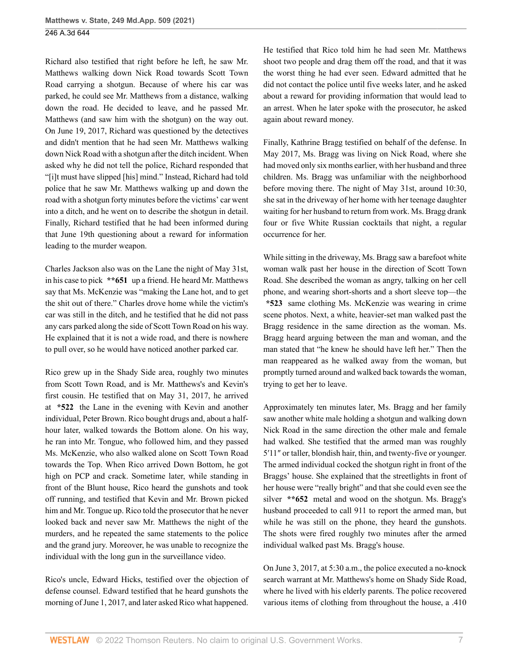Richard also testified that right before he left, he saw Mr. Matthews walking down Nick Road towards Scott Town Road carrying a shotgun. Because of where his car was parked, he could see Mr. Matthews from a distance, walking down the road. He decided to leave, and he passed Mr. Matthews (and saw him with the shotgun) on the way out. On June 19, 2017, Richard was questioned by the detectives and didn't mention that he had seen Mr. Matthews walking down Nick Road with a shotgun after the ditch incident. When asked why he did not tell the police, Richard responded that "[i]t must have slipped [his] mind." Instead, Richard had told police that he saw Mr. Matthews walking up and down the road with a shotgun forty minutes before the victims' car went into a ditch, and he went on to describe the shotgun in detail. Finally, Richard testified that he had been informed during that June 19th questioning about a reward for information leading to the murder weapon.

Charles Jackson also was on the Lane the night of May 31st, in his case to pick **\*\*651** up a friend. He heard Mr. Matthews say that Ms. McKenzie was "making the Lane hot, and to get the shit out of there." Charles drove home while the victim's car was still in the ditch, and he testified that he did not pass any cars parked along the side of Scott Town Road on his way. He explained that it is not a wide road, and there is nowhere to pull over, so he would have noticed another parked car.

Rico grew up in the Shady Side area, roughly two minutes from Scott Town Road, and is Mr. Matthews's and Kevin's first cousin. He testified that on May 31, 2017, he arrived at **\*522** the Lane in the evening with Kevin and another individual, Peter Brown. Rico bought drugs and, about a halfhour later, walked towards the Bottom alone. On his way, he ran into Mr. Tongue, who followed him, and they passed Ms. McKenzie, who also walked alone on Scott Town Road towards the Top. When Rico arrived Down Bottom, he got high on PCP and crack. Sometime later, while standing in front of the Blunt house, Rico heard the gunshots and took off running, and testified that Kevin and Mr. Brown picked him and Mr. Tongue up. Rico told the prosecutor that he never looked back and never saw Mr. Matthews the night of the murders, and he repeated the same statements to the police and the grand jury. Moreover, he was unable to recognize the individual with the long gun in the surveillance video.

Rico's uncle, Edward Hicks, testified over the objection of defense counsel. Edward testified that he heard gunshots the morning of June 1, 2017, and later asked Rico what happened.

He testified that Rico told him he had seen Mr. Matthews shoot two people and drag them off the road, and that it was the worst thing he had ever seen. Edward admitted that he did not contact the police until five weeks later, and he asked about a reward for providing information that would lead to an arrest. When he later spoke with the prosecutor, he asked again about reward money.

Finally, Kathrine Bragg testified on behalf of the defense. In May 2017, Ms. Bragg was living on Nick Road, where she had moved only six months earlier, with her husband and three children. Ms. Bragg was unfamiliar with the neighborhood before moving there. The night of May 31st, around 10:30, she sat in the driveway of her home with her teenage daughter waiting for her husband to return from work. Ms. Bragg drank four or five White Russian cocktails that night, a regular occurrence for her.

While sitting in the driveway, Ms. Bragg saw a barefoot white woman walk past her house in the direction of Scott Town Road. She described the woman as angry, talking on her cell phone, and wearing short-shorts and a short sleeve top—the **\*523** same clothing Ms. McKenzie was wearing in crime scene photos. Next, a white, heavier-set man walked past the Bragg residence in the same direction as the woman. Ms. Bragg heard arguing between the man and woman, and the man stated that "he knew he should have left her." Then the man reappeared as he walked away from the woman, but promptly turned around and walked back towards the woman, trying to get her to leave.

Approximately ten minutes later, Ms. Bragg and her family saw another white male holding a shotgun and walking down Nick Road in the same direction the other male and female had walked. She testified that the armed man was roughly 5′11″ or taller, blondish hair, thin, and twenty-five or younger. The armed individual cocked the shotgun right in front of the Braggs' house. She explained that the streetlights in front of her house were "really bright" and that she could even see the silver **\*\*652** metal and wood on the shotgun. Ms. Bragg's husband proceeded to call 911 to report the armed man, but while he was still on the phone, they heard the gunshots. The shots were fired roughly two minutes after the armed individual walked past Ms. Bragg's house.

On June 3, 2017, at 5:30 a.m., the police executed a no-knock search warrant at Mr. Matthews's home on Shady Side Road, where he lived with his elderly parents. The police recovered various items of clothing from throughout the house, a .410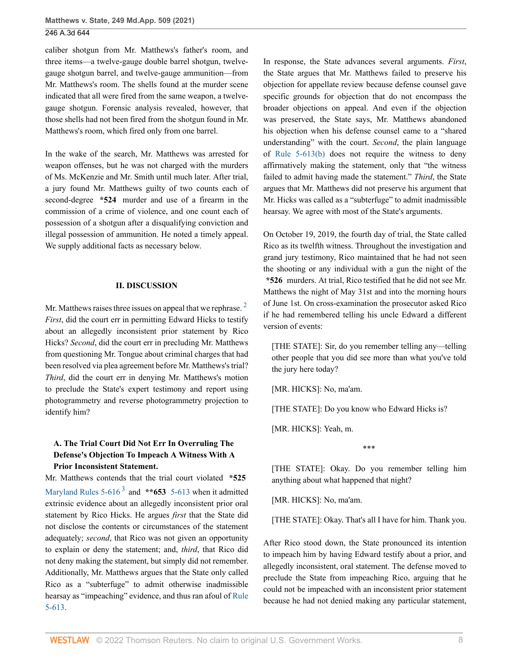caliber shotgun from Mr. Matthews's father's room, and three items—a twelve-gauge double barrel shotgun, twelvegauge shotgun barrel, and twelve-gauge ammunition—from Mr. Matthews's room. The shells found at the murder scene indicated that all were fired from the same weapon, a twelvegauge shotgun. Forensic analysis revealed, however, that those shells had not been fired from the shotgun found in Mr. Matthews's room, which fired only from one barrel.

In the wake of the search, Mr. Matthews was arrested for weapon offenses, but he was not charged with the murders of Ms. McKenzie and Mr. Smith until much later. After trial, a jury found Mr. Matthews guilty of two counts each of second-degree **\*524** murder and use of a firearm in the commission of a crime of violence, and one count each of possession of a shotgun after a disqualifying conviction and illegal possession of ammunition. He noted a timely appeal. We supply additional facts as necessary below.

#### **II. DISCUSSION**

Mr. Matthews raises three issues on appeal that we rephrase.<sup>[2](#page-15-4)</sup> *First*, did the court err in permitting Edward Hicks to testify about an allegedly inconsistent prior statement by Rico Hicks? *Second*, did the court err in precluding Mr. Matthews from questioning Mr. Tongue about criminal charges that had been resolved via plea agreement before Mr. Matthews's trial? *Third*, did the court err in denying Mr. Matthews's motion to preclude the State's expert testimony and report using photogrammetry and reverse photogrammetry projection to identify him?

# **A. The Trial Court Did Not Err In Overruling The Defense's Objection To Impeach A Witness With A Prior Inconsistent Statement.**

<span id="page-7-1"></span>Mr. Matthews contends that the trial court violated **\*525** Maryland Rules  $5-616^3$  $5-616^3$  and  $**653$  [5-613](http://www.westlaw.com/Link/Document/FullText?findType=L&pubNum=1007684&cite=MDRREVR5-613&originatingDoc=I5321c92077d311eba660be4ce62361b9&refType=LQ&originationContext=document&vr=3.0&rs=cblt1.0&transitionType=DocumentItem&contextData=(sc.UserEnteredCitation)) when it admitted extrinsic evidence about an allegedly inconsistent prior oral statement by Rico Hicks. He argues *first* that the State did not disclose the contents or circumstances of the statement adequately; *second*, that Rico was not given an opportunity to explain or deny the statement; and, *third*, that Rico did not deny making the statement, but simply did not remember. Additionally, Mr. Matthews argues that the State only called Rico as a "subterfuge" to admit otherwise inadmissible hearsay as "impeaching" evidence, and thus ran afoul of [Rule](http://www.westlaw.com/Link/Document/FullText?findType=L&pubNum=1007684&cite=MDRREVR5-613&originatingDoc=I5321c92077d311eba660be4ce62361b9&refType=LQ&originationContext=document&vr=3.0&rs=cblt1.0&transitionType=DocumentItem&contextData=(sc.UserEnteredCitation)) [5-613](http://www.westlaw.com/Link/Document/FullText?findType=L&pubNum=1007684&cite=MDRREVR5-613&originatingDoc=I5321c92077d311eba660be4ce62361b9&refType=LQ&originationContext=document&vr=3.0&rs=cblt1.0&transitionType=DocumentItem&contextData=(sc.UserEnteredCitation)).

In response, the State advances several arguments. *First*, the State argues that Mr. Matthews failed to preserve his objection for appellate review because defense counsel gave specific grounds for objection that do not encompass the broader objections on appeal. And even if the objection was preserved, the State says, Mr. Matthews abandoned his objection when his defense counsel came to a "shared understanding" with the court. *Second*, the plain language of [Rule 5-613\(b\)](http://www.westlaw.com/Link/Document/FullText?findType=L&pubNum=1007684&cite=MDRREVR5-613&originatingDoc=I5321c92077d311eba660be4ce62361b9&refType=LQ&originationContext=document&vr=3.0&rs=cblt1.0&transitionType=DocumentItem&contextData=(sc.UserEnteredCitation)) does not require the witness to deny affirmatively making the statement, only that "the witness failed to admit having made the statement." *Third*, the State argues that Mr. Matthews did not preserve his argument that Mr. Hicks was called as a "subterfuge" to admit inadmissible hearsay. We agree with most of the State's arguments.

On October 19, 2019, the fourth day of trial, the State called Rico as its twelfth witness. Throughout the investigation and grand jury testimony, Rico maintained that he had not seen the shooting or any individual with a gun the night of the **\*526** murders. At trial, Rico testified that he did not see Mr. Matthews the night of May 31st and into the morning hours of June 1st. On cross-examination the prosecutor asked Rico if he had remembered telling his uncle Edward a different version of events:

<span id="page-7-0"></span>[THE STATE]: Sir, do you remember telling any—telling other people that you did see more than what you've told the jury here today?

[MR. HICKS]: No, ma'am.

[THE STATE]: Do you know who Edward Hicks is?

[MR. HICKS]: Yeah, m.

\*\*\*

[THE STATE]: Okay. Do you remember telling him anything about what happened that night?

[MR. HICKS]: No, ma'am.

[THE STATE]: Okay. That's all I have for him. Thank you.

After Rico stood down, the State pronounced its intention to impeach him by having Edward testify about a prior, and allegedly inconsistent, oral statement. The defense moved to preclude the State from impeaching Rico, arguing that he could not be impeached with an inconsistent prior statement because he had not denied making any particular statement,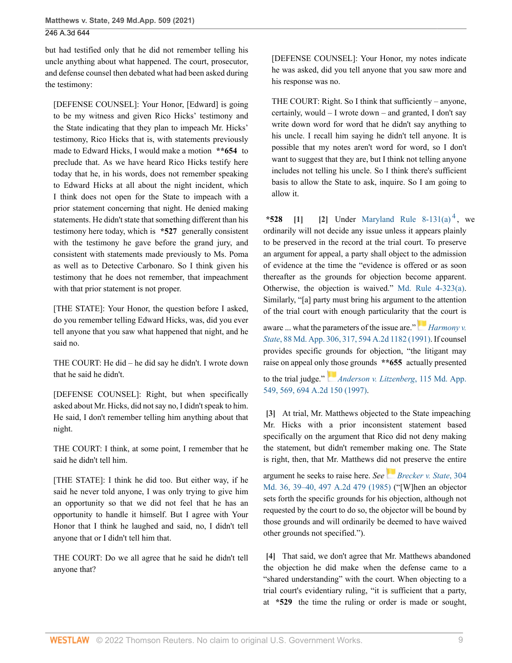but had testified only that he did not remember telling his uncle anything about what happened. The court, prosecutor, and defense counsel then debated what had been asked during the testimony:

[DEFENSE COUNSEL]: Your Honor, [Edward] is going to be my witness and given Rico Hicks' testimony and the State indicating that they plan to impeach Mr. Hicks' testimony, Rico Hicks that is, with statements previously made to Edward Hicks, I would make a motion **\*\*654** to preclude that. As we have heard Rico Hicks testify here today that he, in his words, does not remember speaking to Edward Hicks at all about the night incident, which I think does not open for the State to impeach with a prior statement concerning that night. He denied making statements. He didn't state that something different than his testimony here today, which is **\*527** generally consistent with the testimony he gave before the grand jury, and consistent with statements made previously to Ms. Poma as well as to Detective Carbonaro. So I think given his testimony that he does not remember, that impeachment with that prior statement is not proper.

[THE STATE]: Your Honor, the question before I asked, do you remember telling Edward Hicks, was, did you ever tell anyone that you saw what happened that night, and he said no.

THE COURT: He did – he did say he didn't. I wrote down that he said he didn't.

[DEFENSE COUNSEL]: Right, but when specifically asked about Mr. Hicks, did not say no, I didn't speak to him. He said, I don't remember telling him anything about that night.

THE COURT: I think, at some point, I remember that he said he didn't tell him.

[THE STATE]: I think he did too. But either way, if he said he never told anyone, I was only trying to give him an opportunity so that we did not feel that he has an opportunity to handle it himself. But I agree with Your Honor that I think he laughed and said, no, I didn't tell anyone that or I didn't tell him that.

THE COURT: Do we all agree that he said he didn't tell anyone that?

[DEFENSE COUNSEL]: Your Honor, my notes indicate he was asked, did you tell anyone that you saw more and his response was no.

THE COURT: Right. So I think that sufficiently – anyone, certainly, would – I wrote down – and granted, I don't say write down word for word that he didn't say anything to his uncle. I recall him saying he didn't tell anyone. It is possible that my notes aren't word for word, so I don't want to suggest that they are, but I think not telling anyone includes not telling his uncle. So I think there's sufficient basis to allow the State to ask, inquire. So I am going to allow it.

<span id="page-8-4"></span><span id="page-8-1"></span><span id="page-8-0"></span>**\*528** [\[1\]](#page-0-0) [\[2\]](#page-0-1) Under Maryland Rule  $8-131(a)^4$  $8-131(a)^4$ , we ordinarily will not decide any issue unless it appears plainly to be preserved in the record at the trial court. To preserve an argument for appeal, a party shall object to the admission of evidence at the time the "evidence is offered or as soon thereafter as the grounds for objection become apparent. Otherwise, the objection is waived." [Md. Rule 4-323\(a\)](http://www.westlaw.com/Link/Document/FullText?findType=L&pubNum=1007682&cite=MDRCRR4-323&originatingDoc=I5321c92077d311eba660be4ce62361b9&refType=LQ&originationContext=document&vr=3.0&rs=cblt1.0&transitionType=DocumentItem&contextData=(sc.UserEnteredCitation)). Similarly, "[a] party must bring his argument to the attention of the trial court with enough particularity t[hat t](https://1.next.westlaw.com/Link/RelatedInformation/Flag?documentGuid=I96488ff334f511d98b61a35269fc5f88&transitionType=InlineKeyCiteFlags&originationContext=docHeaderFlag&Rank=0&ppcid=93364e51ec8e4c5894a3dbbb2784bd30&contextData=(sc.UserEnteredCitation) )he court is

aware ... what the parameters of the issue are." *[Harmony v.](http://www.westlaw.com/Link/Document/FullText?findType=Y&serNum=1991150688&pubNum=0000537&originatingDoc=I5321c92077d311eba660be4ce62361b9&refType=RP&fi=co_pp_sp_537_317&originationContext=document&vr=3.0&rs=cblt1.0&transitionType=DocumentItem&contextData=(sc.UserEnteredCitation)#co_pp_sp_537_317) State*[, 88 Md. App. 306, 317, 594 A.2d 1182 \(1991\).](http://www.westlaw.com/Link/Document/FullText?findType=Y&serNum=1991150688&pubNum=0000537&originatingDoc=I5321c92077d311eba660be4ce62361b9&refType=RP&fi=co_pp_sp_537_317&originationContext=document&vr=3.0&rs=cblt1.0&transitionType=DocumentItem&contextData=(sc.UserEnteredCitation)#co_pp_sp_537_317) If counsel provides specific grounds for objection, "the litigant may raise on appeal onl[y tho](https://1.next.westlaw.com/Link/RelatedInformation/Flag?documentGuid=I8c4e9ca3368611d98b61a35269fc5f88&transitionType=InlineKeyCiteFlags&originationContext=docHeaderFlag&Rank=0&ppcid=93364e51ec8e4c5894a3dbbb2784bd30&contextData=(sc.UserEnteredCitation) )se grounds **\*\*655** actually presented

to the trial judge." *[Anderson v. Litzenberg](http://www.westlaw.com/Link/Document/FullText?findType=Y&serNum=1997117062&pubNum=0000537&originatingDoc=I5321c92077d311eba660be4ce62361b9&refType=RP&fi=co_pp_sp_537_569&originationContext=document&vr=3.0&rs=cblt1.0&transitionType=DocumentItem&contextData=(sc.UserEnteredCitation)#co_pp_sp_537_569)*, 115 Md. App. [549, 569, 694 A.2d 150 \(1997\).](http://www.westlaw.com/Link/Document/FullText?findType=Y&serNum=1997117062&pubNum=0000537&originatingDoc=I5321c92077d311eba660be4ce62361b9&refType=RP&fi=co_pp_sp_537_569&originationContext=document&vr=3.0&rs=cblt1.0&transitionType=DocumentItem&contextData=(sc.UserEnteredCitation)#co_pp_sp_537_569)

<span id="page-8-2"></span>**[\[3\]](#page-0-2)** At trial, Mr. Matthews objected to the State impeaching Mr. Hicks with a prior inconsistent statement based specifically on the argument that Rico did not deny making the statement, but didn't remember making one. The State is right, then, that Mr. Matthews did not preserve the entire argument he seeks to raise here. *See[Brecker v. State](http://www.westlaw.com/Link/Document/FullText?findType=Y&serNum=1985145957&pubNum=0000536&originatingDoc=I5321c92077d311eba660be4ce62361b9&refType=RP&fi=co_pp_sp_536_39&originationContext=document&vr=3.0&rs=cblt1.0&transitionType=DocumentItem&contextData=(sc.UserEnteredCitation)#co_pp_sp_536_39)*, 304

[Md. 36, 39–40, 497 A.2d 479 \(1985\)](http://www.westlaw.com/Link/Document/FullText?findType=Y&serNum=1985145957&pubNum=0000536&originatingDoc=I5321c92077d311eba660be4ce62361b9&refType=RP&fi=co_pp_sp_536_39&originationContext=document&vr=3.0&rs=cblt1.0&transitionType=DocumentItem&contextData=(sc.UserEnteredCitation)#co_pp_sp_536_39) ("[W]hen an objector sets forth the specific grounds for his objection, although not requested by the court to do so, the objector will be bound by those grounds and will ordinarily be deemed to have waived other grounds not specified.").

<span id="page-8-3"></span>**[\[4\]](#page-0-3)** That said, we don't agree that Mr. Matthews abandoned the objection he did make when the defense came to a "shared understanding" with the court. When objecting to a trial court's evidentiary ruling, "it is sufficient that a party, at **\*529** the time the ruling or order is made or sought,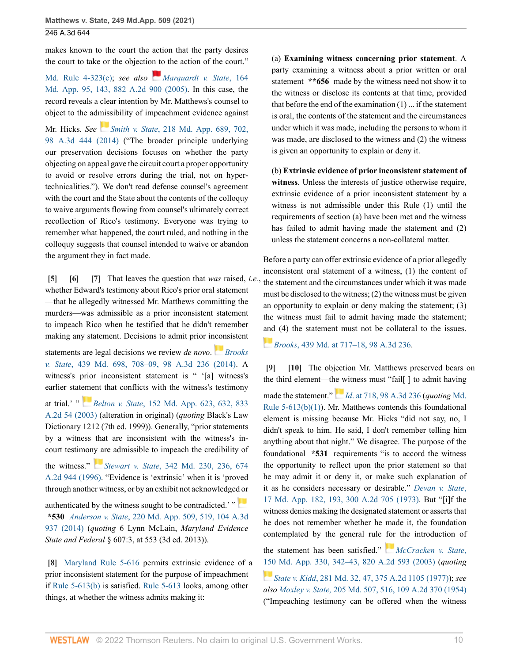makes known to the court the action that the party desires the court to take or the objection to the action of the court."

[Md. Rule 4-323\(c\)](http://www.westlaw.com/Link/Document/FullText?findType=L&pubNum=1007682&cite=MDRCRR4-323&originatingDoc=I5321c92077d311eba660be4ce62361b9&refType=LQ&originationContext=document&vr=3.0&rs=cblt1.0&transitionType=DocumentItem&contextData=(sc.UserEnteredCitation)); *see also [Marquardt v. State](http://www.westlaw.com/Link/Document/FullText?findType=Y&serNum=2007249094&pubNum=0000537&originatingDoc=I5321c92077d311eba660be4ce62361b9&refType=RP&fi=co_pp_sp_537_143&originationContext=document&vr=3.0&rs=cblt1.0&transitionType=DocumentItem&contextData=(sc.UserEnteredCitation)#co_pp_sp_537_143)*, 164 [Md. App. 95, 143, 882 A.2d 900 \(2005\)](http://www.westlaw.com/Link/Document/FullText?findType=Y&serNum=2007249094&pubNum=0000537&originatingDoc=I5321c92077d311eba660be4ce62361b9&refType=RP&fi=co_pp_sp_537_143&originationContext=document&vr=3.0&rs=cblt1.0&transitionType=DocumentItem&contextData=(sc.UserEnteredCitation)#co_pp_sp_537_143). In this case, the record reveals a clear intention by Mr. Matthews's counsel to object to the admissibility of impeachment evidence against

Mr. Hicks. *See Smith v. State*[, 218 Md. App. 689, 702,](http://www.westlaw.com/Link/Document/FullText?findType=Y&serNum=2034239538&pubNum=0000537&originatingDoc=I5321c92077d311eba660be4ce62361b9&refType=RP&fi=co_pp_sp_537_702&originationContext=document&vr=3.0&rs=cblt1.0&transitionType=DocumentItem&contextData=(sc.UserEnteredCitation)#co_pp_sp_537_702) [98 A.3d 444 \(2014\)](http://www.westlaw.com/Link/Document/FullText?findType=Y&serNum=2034239538&pubNum=0000537&originatingDoc=I5321c92077d311eba660be4ce62361b9&refType=RP&fi=co_pp_sp_537_702&originationContext=document&vr=3.0&rs=cblt1.0&transitionType=DocumentItem&contextData=(sc.UserEnteredCitation)#co_pp_sp_537_702) ("The broader principle underlying our preservation decisions focuses on whether the party objecting on appeal gave the circuit court a proper opportunity to avoid or resolve errors during the trial, not on hypertechnicalities."). We don't read defense counsel's agreement with the court and the State about the contents of the colloquy to waive arguments flowing from counsel's ultimately correct recollection of Rico's testimony. Everyone was trying to remember what happened, the court ruled, and nothing in the colloquy suggests that counsel intended to waive or abandon the argument they in fact made.

<span id="page-9-2"></span><span id="page-9-1"></span><span id="page-9-0"></span>**[\[5\]](#page-1-0) [\[6\]](#page-1-2) [\[7](#page-1-3)]** That leaves the question that *was* raised, *i.e.*, whether Edward's testimony about Rico's prior oral statement —that he allegedly witnessed Mr. Matthews committing the murders—was admissible as a prior inconsistent statement to impeach Rico when he testified that he didn't remember making any statement. Decisions to admit prior i[ncon](https://1.next.westlaw.com/Link/RelatedInformation/Flag?documentGuid=I123723c72e7211e490d4edf60ce7d742&transitionType=InlineKeyCiteFlags&originationContext=docHeaderFlag&Rank=0&ppcid=93364e51ec8e4c5894a3dbbb2784bd30&contextData=(sc.UserEnteredCitation) )sistent

statements are legal decisions we review *de novo*. *[Brooks](http://www.westlaw.com/Link/Document/FullText?findType=Y&serNum=2034225635&pubNum=0000536&originatingDoc=I5321c92077d311eba660be4ce62361b9&refType=RP&fi=co_pp_sp_536_708&originationContext=document&vr=3.0&rs=cblt1.0&transitionType=DocumentItem&contextData=(sc.UserEnteredCitation)#co_pp_sp_536_708) v. State*[, 439 Md. 698, 708–09, 98 A.3d 236 \(2014\)](http://www.westlaw.com/Link/Document/FullText?findType=Y&serNum=2034225635&pubNum=0000536&originatingDoc=I5321c92077d311eba660be4ce62361b9&refType=RP&fi=co_pp_sp_536_708&originationContext=document&vr=3.0&rs=cblt1.0&transitionType=DocumentItem&contextData=(sc.UserEnteredCitation)#co_pp_sp_536_708). A witness's prior inconsistent statement is " '[a] witness's earlier stat[eme](https://1.next.westlaw.com/Link/RelatedInformation/Flag?documentGuid=I77fe4edc32fd11d986b0aa9c82c164c0&transitionType=InlineKeyCiteFlags&originationContext=docHeaderFlag&Rank=0&ppcid=93364e51ec8e4c5894a3dbbb2784bd30&contextData=(sc.UserEnteredCitation) )nt that conflicts with the witness's testimony

at trial.' " *Belton v. State*[, 152 Md. App. 623, 632, 833](http://www.westlaw.com/Link/Document/FullText?findType=Y&serNum=2003677200&pubNum=0000537&originatingDoc=I5321c92077d311eba660be4ce62361b9&refType=RP&fi=co_pp_sp_537_632&originationContext=document&vr=3.0&rs=cblt1.0&transitionType=DocumentItem&contextData=(sc.UserEnteredCitation)#co_pp_sp_537_632) [A.2d 54 \(2003\)](http://www.westlaw.com/Link/Document/FullText?findType=Y&serNum=2003677200&pubNum=0000537&originatingDoc=I5321c92077d311eba660be4ce62361b9&refType=RP&fi=co_pp_sp_537_632&originationContext=document&vr=3.0&rs=cblt1.0&transitionType=DocumentItem&contextData=(sc.UserEnteredCitation)#co_pp_sp_537_632) (alteration in original) (*quoting* Black's Law Dictionary 1212 (7th ed. 1999)). Generally, "prior statements by a witness that are inconsistent with the witness's incourt testimo[ny ar](https://1.next.westlaw.com/Link/RelatedInformation/Flag?documentGuid=I4255cba435d711d986b0aa9c82c164c0&transitionType=InlineKeyCiteFlags&originationContext=docHeaderFlag&Rank=0&ppcid=93364e51ec8e4c5894a3dbbb2784bd30&contextData=(sc.UserEnteredCitation) )e admissible to impeach the credibility of

the witness." *Stewart v. State*[, 342 Md. 230, 236, 674](http://www.westlaw.com/Link/Document/FullText?findType=Y&serNum=1996096018&pubNum=0000536&originatingDoc=I5321c92077d311eba660be4ce62361b9&refType=RP&fi=co_pp_sp_536_236&originationContext=document&vr=3.0&rs=cblt1.0&transitionType=DocumentItem&contextData=(sc.UserEnteredCitation)#co_pp_sp_536_236) [A.2d 944 \(1996\).](http://www.westlaw.com/Link/Document/FullText?findType=Y&serNum=1996096018&pubNum=0000536&originatingDoc=I5321c92077d311eba660be4ce62361b9&refType=RP&fi=co_pp_sp_536_236&originationContext=document&vr=3.0&rs=cblt1.0&transitionType=DocumentItem&contextData=(sc.UserEnteredCitation)#co_pp_sp_536_236) "Evidence is 'extrinsic' when it is 'proved through another witness, or by an exhibit not acknowledge[d or](https://1.next.westlaw.com/Link/RelatedInformation/Flag?documentGuid=Ieddae5a086f611e4a795ac035416da91&transitionType=InlineKeyCiteFlags&originationContext=docHeaderFlag&Rank=0&ppcid=93364e51ec8e4c5894a3dbbb2784bd30&contextData=(sc.UserEnteredCitation) )

authenticated by the witness sought to be contradicted.'  $\mathbb{R}$ **\*530** *Anderson v. State*[, 220 Md. App. 509, 519, 104 A.3d](http://www.westlaw.com/Link/Document/FullText?findType=Y&serNum=2035067992&pubNum=0000537&originatingDoc=I5321c92077d311eba660be4ce62361b9&refType=RP&fi=co_pp_sp_537_519&originationContext=document&vr=3.0&rs=cblt1.0&transitionType=DocumentItem&contextData=(sc.UserEnteredCitation)#co_pp_sp_537_519) [937 \(2014\)](http://www.westlaw.com/Link/Document/FullText?findType=Y&serNum=2035067992&pubNum=0000537&originatingDoc=I5321c92077d311eba660be4ce62361b9&refType=RP&fi=co_pp_sp_537_519&originationContext=document&vr=3.0&rs=cblt1.0&transitionType=DocumentItem&contextData=(sc.UserEnteredCitation)#co_pp_sp_537_519) (*quoting* 6 Lynn McLain, *Maryland Evidence State and Federal* § 607:3, at 553 (3d ed. 2013)).

<span id="page-9-3"></span>**[\[8\]](#page-1-4)** [Maryland Rule 5-616](http://www.westlaw.com/Link/Document/FullText?findType=L&pubNum=1007684&cite=MDRREVR5-616&originatingDoc=I5321c92077d311eba660be4ce62361b9&refType=LQ&originationContext=document&vr=3.0&rs=cblt1.0&transitionType=DocumentItem&contextData=(sc.UserEnteredCitation)) permits extrinsic evidence of a prior inconsistent statement for the purpose of impeachment if [Rule 5-613\(b\)](http://www.westlaw.com/Link/Document/FullText?findType=L&pubNum=1007684&cite=MDRREVR5-613&originatingDoc=I5321c92077d311eba660be4ce62361b9&refType=LQ&originationContext=document&vr=3.0&rs=cblt1.0&transitionType=DocumentItem&contextData=(sc.UserEnteredCitation)) is satisfied. [Rule 5-613](http://www.westlaw.com/Link/Document/FullText?findType=L&pubNum=1007684&cite=MDRREVR5-613&originatingDoc=I5321c92077d311eba660be4ce62361b9&refType=LQ&originationContext=document&vr=3.0&rs=cblt1.0&transitionType=DocumentItem&contextData=(sc.UserEnteredCitation)) looks, among other things, at whether the witness admits making it:

(a) **Examining witness concerning prior statement**. A party examining a witness about a prior written or oral statement **\*\*656** made by the witness need not show it to the witness or disclose its contents at that time, provided that before the end of the examination (1) ... if the statement is oral, the contents of the statement and the circumstances under which it was made, including the persons to whom it was made, are disclosed to the witness and (2) the witness is given an opportunity to explain or deny it.

(b) **Extrinsic evidence of prior inconsistent statement of witness**. Unless the interests of justice otherwise require, extrinsic evidence of a prior inconsistent statement by a witness is not admissible under this Rule (1) until the requirements of section (a) have been met and the witness has failed to admit having made the statement and (2) unless the statement concerns a non-collateral matter.

Before a party can offer extrinsic evidence of a prior allegedly inconsistent oral statement of a witness, (1) the content of the statement and the circumstances under which it was made must be disclosed to the witness; (2) the witness must be given an opportunity to explain or deny making the statement; (3) the witness must fail to admit having made the statement; [and](https://1.next.westlaw.com/Link/RelatedInformation/Flag?documentGuid=I123723c72e7211e490d4edf60ce7d742&transitionType=InlineKeyCiteFlags&originationContext=docHeaderFlag&Rank=0&ppcid=93364e51ec8e4c5894a3dbbb2784bd30&contextData=(sc.UserEnteredCitation) ) (4) the statement must not be collateral to the issues.

*Brooks*[, 439 Md. at 717–18, 98 A.3d 236.](http://www.westlaw.com/Link/Document/FullText?findType=Y&serNum=2034225635&pubNum=0000536&originatingDoc=I5321c92077d311eba660be4ce62361b9&refType=RP&fi=co_pp_sp_536_717&originationContext=document&vr=3.0&rs=cblt1.0&transitionType=DocumentItem&contextData=(sc.UserEnteredCitation)#co_pp_sp_536_717)

<span id="page-9-5"></span><span id="page-9-4"></span>**[\[9\]](#page-1-5) [\[10\]](#page-1-6)** The objection Mr. Matthews preserved bears on the third element—t[he w](https://1.next.westlaw.com/Link/RelatedInformation/Flag?documentGuid=I123723c72e7211e490d4edf60ce7d742&transitionType=InlineKeyCiteFlags&originationContext=docHeaderFlag&Rank=0&ppcid=93364e51ec8e4c5894a3dbbb2784bd30&contextData=(sc.UserEnteredCitation) )itness must "fail[ ] to admit having

made the statement." *Id*[. at 718, 98 A.3d 236](http://www.westlaw.com/Link/Document/FullText?findType=Y&serNum=2034225635&pubNum=0007691&originatingDoc=I5321c92077d311eba660be4ce62361b9&refType=RP&originationContext=document&vr=3.0&rs=cblt1.0&transitionType=DocumentItem&contextData=(sc.UserEnteredCitation)) (*quoting* [Md.](http://www.westlaw.com/Link/Document/FullText?findType=L&pubNum=1007684&cite=MDRREVR5-613&originatingDoc=I5321c92077d311eba660be4ce62361b9&refType=LQ&originationContext=document&vr=3.0&rs=cblt1.0&transitionType=DocumentItem&contextData=(sc.UserEnteredCitation)) [Rule 5-613\(b\)\(1\)](http://www.westlaw.com/Link/Document/FullText?findType=L&pubNum=1007684&cite=MDRREVR5-613&originatingDoc=I5321c92077d311eba660be4ce62361b9&refType=LQ&originationContext=document&vr=3.0&rs=cblt1.0&transitionType=DocumentItem&contextData=(sc.UserEnteredCitation))). Mr. Matthews contends this foundational element is missing because Mr. Hicks "did not say, no, I didn't speak to him. He said, I don't remember telling him anything about that night." We disagree. The purpose of the foundational **\*531** requirements "is to accord the witness the opportunity to reflect upon the prior statement so that he may admit it or deny it, or make such explanation of it as he considers necessary or desirable." *[Devan v. State](http://www.westlaw.com/Link/Document/FullText?findType=Y&serNum=1973100359&pubNum=0000537&originatingDoc=I5321c92077d311eba660be4ce62361b9&refType=RP&fi=co_pp_sp_537_193&originationContext=document&vr=3.0&rs=cblt1.0&transitionType=DocumentItem&contextData=(sc.UserEnteredCitation)#co_pp_sp_537_193)*, [17 Md. App. 182, 193, 300 A.2d 705 \(1973\).](http://www.westlaw.com/Link/Document/FullText?findType=Y&serNum=1973100359&pubNum=0000537&originatingDoc=I5321c92077d311eba660be4ce62361b9&refType=RP&fi=co_pp_sp_537_193&originationContext=document&vr=3.0&rs=cblt1.0&transitionType=DocumentItem&contextData=(sc.UserEnteredCitation)#co_pp_sp_537_193) But "[i]f the witness denies making the designated statement or asserts that he does not remember whether he made it, the foundation contemplated by the general rule [for](https://1.next.westlaw.com/Link/RelatedInformation/Flag?documentGuid=I25e146b332f411d986b0aa9c82c164c0&transitionType=InlineKeyCiteFlags&originationContext=docHeaderFlag&Rank=0&ppcid=93364e51ec8e4c5894a3dbbb2784bd30&contextData=(sc.UserEnteredCitation) ) the introduction of

the statement has been satisfied." *[McCracken v. State](http://www.westlaw.com/Link/Document/FullText?findType=Y&serNum=2003245048&pubNum=0000537&originatingDoc=I5321c92077d311eba660be4ce62361b9&refType=RP&fi=co_pp_sp_537_342&originationContext=document&vr=3.0&rs=cblt1.0&transitionType=DocumentItem&contextData=(sc.UserEnteredCitation)#co_pp_sp_537_342)*, [150 Md. App. 330, 342–43, 820 A.2d 593 \(2003\)](http://www.westlaw.com/Link/Document/FullText?findType=Y&serNum=2003245048&pubNum=0000537&originatingDoc=I5321c92077d311eba660be4ce62361b9&refType=RP&fi=co_pp_sp_537_342&originationContext=document&vr=3.0&rs=cblt1.0&transitionType=DocumentItem&contextData=(sc.UserEnteredCitation)#co_pp_sp_537_342) (*quoting*

*State v. Kidd*[, 281 Md. 32, 47, 375 A.2d 1105 \(1977\)\)](http://www.westlaw.com/Link/Document/FullText?findType=Y&serNum=1977120026&pubNum=0000536&originatingDoc=I5321c92077d311eba660be4ce62361b9&refType=RP&fi=co_pp_sp_536_47&originationContext=document&vr=3.0&rs=cblt1.0&transitionType=DocumentItem&contextData=(sc.UserEnteredCitation)#co_pp_sp_536_47); *see also Moxley v. State,* [205 Md. 507, 516, 109 A.2d 370 \(1954\)](http://www.westlaw.com/Link/Document/FullText?findType=Y&serNum=1961105681&pubNum=0000536&originatingDoc=I5321c92077d311eba660be4ce62361b9&refType=RP&fi=co_pp_sp_536_516&originationContext=document&vr=3.0&rs=cblt1.0&transitionType=DocumentItem&contextData=(sc.UserEnteredCitation)#co_pp_sp_536_516) ("Impeaching testimony can be offered when the witness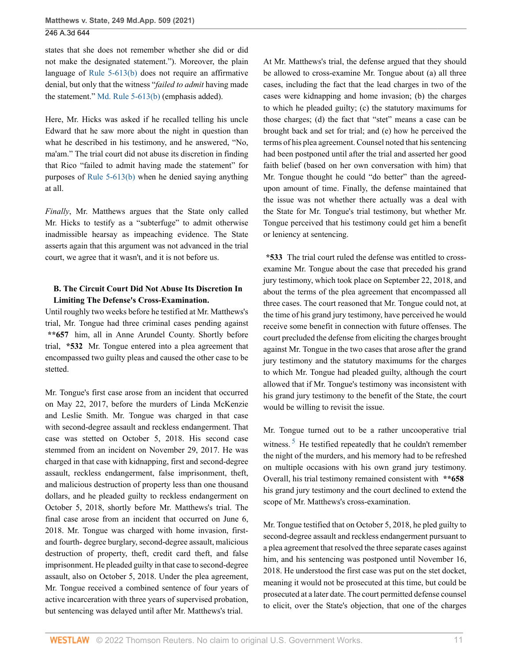states that she does not remember whether she did or did not make the designated statement."). Moreover, the plain language of [Rule 5-613\(b\)](http://www.westlaw.com/Link/Document/FullText?findType=L&pubNum=1007684&cite=MDRREVR5-613&originatingDoc=I5321c92077d311eba660be4ce62361b9&refType=LQ&originationContext=document&vr=3.0&rs=cblt1.0&transitionType=DocumentItem&contextData=(sc.UserEnteredCitation)) does not require an affirmative denial, but only that the witness "*failed to admit* having made the statement." [Md. Rule 5-613\(b\)](http://www.westlaw.com/Link/Document/FullText?findType=L&pubNum=1007684&cite=MDRREVR5-613&originatingDoc=I5321c92077d311eba660be4ce62361b9&refType=LQ&originationContext=document&vr=3.0&rs=cblt1.0&transitionType=DocumentItem&contextData=(sc.UserEnteredCitation)) (emphasis added).

Here, Mr. Hicks was asked if he recalled telling his uncle Edward that he saw more about the night in question than what he described in his testimony, and he answered, "No, ma'am." The trial court did not abuse its discretion in finding that Rico "failed to admit having made the statement" for purposes of [Rule 5-613\(b\)](http://www.westlaw.com/Link/Document/FullText?findType=L&pubNum=1007684&cite=MDRREVR5-613&originatingDoc=I5321c92077d311eba660be4ce62361b9&refType=LQ&originationContext=document&vr=3.0&rs=cblt1.0&transitionType=DocumentItem&contextData=(sc.UserEnteredCitation)) when he denied saying anything at all.

*Finally*, Mr. Matthews argues that the State only called Mr. Hicks to testify as a "subterfuge" to admit otherwise inadmissible hearsay as impeaching evidence. The State asserts again that this argument was not advanced in the trial court, we agree that it wasn't, and it is not before us.

## **B. The Circuit Court Did Not Abuse Its Discretion In Limiting The Defense's Cross-Examination.**

Until roughly two weeks before he testified at Mr. Matthews's trial, Mr. Tongue had three criminal cases pending against **\*\*657** him, all in Anne Arundel County. Shortly before trial, **\*532** Mr. Tongue entered into a plea agreement that encompassed two guilty pleas and caused the other case to be stetted.

Mr. Tongue's first case arose from an incident that occurred on May 22, 2017, before the murders of Linda McKenzie and Leslie Smith. Mr. Tongue was charged in that case with second-degree assault and reckless endangerment. That case was stetted on October 5, 2018. His second case stemmed from an incident on November 29, 2017. He was charged in that case with kidnapping, first and second-degree assault, reckless endangerment, false imprisonment, theft, and malicious destruction of property less than one thousand dollars, and he pleaded guilty to reckless endangerment on October 5, 2018, shortly before Mr. Matthews's trial. The final case arose from an incident that occurred on June 6, 2018. Mr. Tongue was charged with home invasion, firstand fourth- degree burglary, second-degree assault, malicious destruction of property, theft, credit card theft, and false imprisonment. He pleaded guilty in that case to second-degree assault, also on October 5, 2018. Under the plea agreement, Mr. Tongue received a combined sentence of four years of active incarceration with three years of supervised probation, but sentencing was delayed until after Mr. Matthews's trial.

At Mr. Matthews's trial, the defense argued that they should be allowed to cross-examine Mr. Tongue about (a) all three cases, including the fact that the lead charges in two of the cases were kidnapping and home invasion; (b) the charges to which he pleaded guilty; (c) the statutory maximums for those charges; (d) the fact that "stet" means a case can be brought back and set for trial; and (e) how he perceived the terms of his plea agreement. Counsel noted that his sentencing had been postponed until after the trial and asserted her good faith belief (based on her own conversation with him) that Mr. Tongue thought he could "do better" than the agreedupon amount of time. Finally, the defense maintained that the issue was not whether there actually was a deal with the State for Mr. Tongue's trial testimony, but whether Mr. Tongue perceived that his testimony could get him a benefit or leniency at sentencing.

**\*533** The trial court ruled the defense was entitled to crossexamine Mr. Tongue about the case that preceded his grand jury testimony, which took place on September 22, 2018, and about the terms of the plea agreement that encompassed all three cases. The court reasoned that Mr. Tongue could not, at the time of his grand jury testimony, have perceived he would receive some benefit in connection with future offenses. The court precluded the defense from eliciting the charges brought against Mr. Tongue in the two cases that arose after the grand jury testimony and the statutory maximums for the charges to which Mr. Tongue had pleaded guilty, although the court allowed that if Mr. Tongue's testimony was inconsistent with his grand jury testimony to the benefit of the State, the court would be willing to revisit the issue.

<span id="page-10-0"></span>Mr. Tongue turned out to be a rather uncooperative trial witness.<sup>[5](#page-16-2)</sup> He testified repeatedly that he couldn't remember the night of the murders, and his memory had to be refreshed on multiple occasions with his own grand jury testimony. Overall, his trial testimony remained consistent with **\*\*658** his grand jury testimony and the court declined to extend the scope of Mr. Matthews's cross-examination.

Mr. Tongue testified that on October 5, 2018, he pled guilty to second-degree assault and reckless endangerment pursuant to a plea agreement that resolved the three separate cases against him, and his sentencing was postponed until November 16, 2018. He understood the first case was put on the stet docket, meaning it would not be prosecuted at this time, but could be prosecuted at a later date. The court permitted defense counsel to elicit, over the State's objection, that one of the charges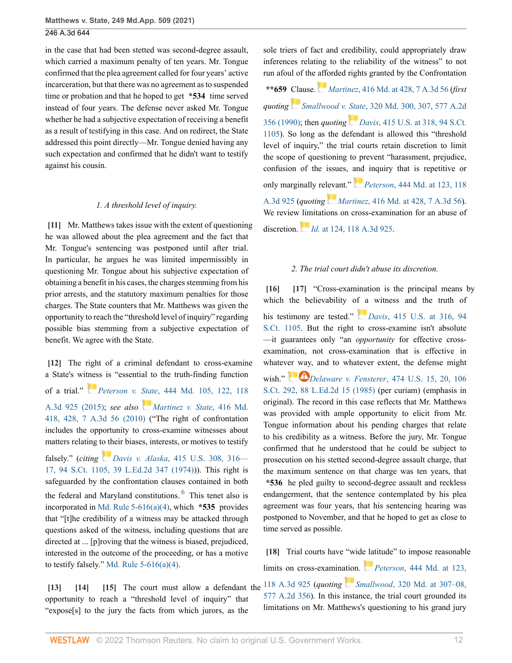in the case that had been stetted was second-degree assault, which carried a maximum penalty of ten years. Mr. Tongue confirmed that the plea agreement called for four years' active incarceration, but that there was no agreement as to suspended time or probation and that he hoped to get **\*534** time served instead of four years. The defense never asked Mr. Tongue whether he had a subjective expectation of receiving a benefit as a result of testifying in this case. And on redirect, the State addressed this point directly—Mr. Tongue denied having any such expectation and confirmed that he didn't want to testify against his cousin.

#### *1. A threshold level of inquiry.*

<span id="page-11-0"></span>**[\[11\]](#page-1-1)** Mr. Matthews takes issue with the extent of questioning he was allowed about the plea agreement and the fact that Mr. Tongue's sentencing was postponed until after trial. In particular, he argues he was limited impermissibly in questioning Mr. Tongue about his subjective expectation of obtaining a benefit in his cases, the charges stemming from his prior arrests, and the statutory maximum penalties for those charges. The State counters that Mr. Matthews was given the opportunity to reach the "threshold level of inquiry" regarding possible bias stemming from a subjective expectation of benefit. We agree with the State.

<span id="page-11-1"></span>**[\[12\]](#page-2-0)** The right of a criminal defendant to cross-examine a State's wi[tnes](https://1.next.westlaw.com/Link/RelatedInformation/Flag?documentGuid=I871052b0348b11e5a795ac035416da91&transitionType=InlineKeyCiteFlags&originationContext=docHeaderFlag&Rank=0&ppcid=93364e51ec8e4c5894a3dbbb2784bd30&contextData=(sc.UserEnteredCitation) )s is "essential to the truth-finding function of a trial." *Peterson v. State*[, 444 Md. 105, 122, 118](http://www.westlaw.com/Link/Document/FullText?findType=Y&serNum=2036767339&pubNum=0000536&originatingDoc=I5321c92077d311eba660be4ce62361b9&refType=RP&fi=co_pp_sp_536_122&originationContext=document&vr=3.0&rs=cblt1.0&transitionType=DocumentItem&contextData=(sc.UserEnteredCitation)#co_pp_sp_536_122) [A.3d 925 \(2015\)](http://www.westlaw.com/Link/Document/FullText?findType=Y&serNum=2036767339&pubNum=0000536&originatingDoc=I5321c92077d311eba660be4ce62361b9&refType=RP&fi=co_pp_sp_536_122&originationContext=document&vr=3.0&rs=cblt1.0&transitionType=DocumentItem&contextData=(sc.UserEnteredCitation)#co_pp_sp_536_122); *see also [Martinez v. State](http://www.westlaw.com/Link/Document/FullText?findType=Y&serNum=2023469733&pubNum=0000536&originatingDoc=I5321c92077d311eba660be4ce62361b9&refType=RP&fi=co_pp_sp_536_428&originationContext=document&vr=3.0&rs=cblt1.0&transitionType=DocumentItem&contextData=(sc.UserEnteredCitation)#co_pp_sp_536_428)*, 416 Md. [418, 428, 7 A.3d 56 \(2010\)](http://www.westlaw.com/Link/Document/FullText?findType=Y&serNum=2023469733&pubNum=0000536&originatingDoc=I5321c92077d311eba660be4ce62361b9&refType=RP&fi=co_pp_sp_536_428&originationContext=document&vr=3.0&rs=cblt1.0&transitionType=DocumentItem&contextData=(sc.UserEnteredCitation)#co_pp_sp_536_428) ("The right of confrontation includes the opportunity to cross-examine witnesses about matters relating to their biases, interests, or motives to testify

<span id="page-11-8"></span>falsely." (*citing [D](https://1.next.westlaw.com/Link/RelatedInformation/Flag?documentGuid=Ida7299269bf011d9bdd1cfdd544ca3a4&transitionType=InlineKeyCiteFlags&originationContext=docHeaderFlag&Rank=0&ppcid=93364e51ec8e4c5894a3dbbb2784bd30&contextData=(sc.UserEnteredCitation) )avis v. Alaska*[, 415 U.S. 308, 316—](http://www.westlaw.com/Link/Document/FullText?findType=Y&serNum=1974127137&pubNum=0000708&originatingDoc=I5321c92077d311eba660be4ce62361b9&refType=RP&fi=co_pp_sp_708_316&originationContext=document&vr=3.0&rs=cblt1.0&transitionType=DocumentItem&contextData=(sc.UserEnteredCitation)#co_pp_sp_708_316) [17, 94 S.Ct. 1105, 39 L.Ed.2d 347 \(1974\)\)](http://www.westlaw.com/Link/Document/FullText?findType=Y&serNum=1974127137&pubNum=0000708&originatingDoc=I5321c92077d311eba660be4ce62361b9&refType=RP&fi=co_pp_sp_708_316&originationContext=document&vr=3.0&rs=cblt1.0&transitionType=DocumentItem&contextData=(sc.UserEnteredCitation)#co_pp_sp_708_316)). This right is safeguarded by the confrontation clauses contained in both the federal and Maryland constitutions. <sup>[6](#page-16-3)</sup> This tenet also is incorporated in [Md. Rule 5-616\(a\)\(4\),](http://www.westlaw.com/Link/Document/FullText?findType=L&pubNum=1007684&cite=MDRREVR5-616&originatingDoc=I5321c92077d311eba660be4ce62361b9&refType=LQ&originationContext=document&vr=3.0&rs=cblt1.0&transitionType=DocumentItem&contextData=(sc.UserEnteredCitation)) which **\*535** provides that "[t]he credibility of a witness may be attacked through questions asked of the witness, including questions that are directed at ... [p]roving that the witness is biased, prejudiced, interested in the outcome of the proceeding, or has a motive to testify falsely." Md. Rule  $5-616(a)(4)$ .

<span id="page-11-4"></span><span id="page-11-3"></span><span id="page-11-2"></span>opportunity to reach a "threshold level of inquiry" that "expose[s] to the jury the facts from which jurors, as the sole triers of fact and credibility, could appropriately draw inferences relating to the reliability of the witness" to not run afoul of the [affo](https://1.next.westlaw.com/Link/RelatedInformation/Flag?documentGuid=I08951ec3e0e411df84cb933efb759da4&transitionType=InlineKeyCiteFlags&originationContext=docHeaderFlag&Rank=0&ppcid=93364e51ec8e4c5894a3dbbb2784bd30&contextData=(sc.UserEnteredCitation) )rded rights granted by the Confrontation

**\*\*659** Clause. *Martinez*[, 416 Md. at 428, 7 A.3d 56](http://www.westlaw.com/Link/Document/FullText?findType=Y&serNum=2023469733&pubNum=0000536&originatingDoc=I5321c92077d311eba660be4ce62361b9&refType=RP&fi=co_pp_sp_536_428&originationContext=document&vr=3.0&rs=cblt1.0&transitionType=DocumentItem&contextData=(sc.UserEnteredCitation)#co_pp_sp_536_428) (*first quotingSmallwood v. State*[, 320 Md. 300, 307, 577 A.2d](http://www.westlaw.com/Link/Document/FullText?findType=Y&serNum=1990117853&pubNum=0000536&originatingDoc=I5321c92077d311eba660be4ce62361b9&refType=RP&fi=co_pp_sp_536_307&originationContext=document&vr=3.0&rs=cblt1.0&transitionType=DocumentItem&contextData=(sc.UserEnteredCitation)#co_pp_sp_536_307) [356 \(1990\)](http://www.westlaw.com/Link/Document/FullText?findType=Y&serNum=1990117853&pubNum=0000536&originatingDoc=I5321c92077d311eba660be4ce62361b9&refType=RP&fi=co_pp_sp_536_307&originationContext=document&vr=3.0&rs=cblt1.0&transitionType=DocumentItem&contextData=(sc.UserEnteredCitation)#co_pp_sp_536_307); then *quoting [D](https://1.next.westlaw.com/Link/RelatedInformation/Flag?documentGuid=Ida7299269bf011d9bdd1cfdd544ca3a4&transitionType=InlineKeyCiteFlags&originationContext=docHeaderFlag&Rank=0&ppcid=93364e51ec8e4c5894a3dbbb2784bd30&contextData=(sc.UserEnteredCitation) )avis*[, 415 U.S. at 318, 94 S.Ct.](http://www.westlaw.com/Link/Document/FullText?findType=Y&serNum=1974127137&pubNum=0000780&originatingDoc=I5321c92077d311eba660be4ce62361b9&refType=RP&fi=co_pp_sp_780_318&originationContext=document&vr=3.0&rs=cblt1.0&transitionType=DocumentItem&contextData=(sc.UserEnteredCitation)#co_pp_sp_780_318) [1105\)](http://www.westlaw.com/Link/Document/FullText?findType=Y&serNum=1974127137&pubNum=0000780&originatingDoc=I5321c92077d311eba660be4ce62361b9&refType=RP&fi=co_pp_sp_780_318&originationContext=document&vr=3.0&rs=cblt1.0&transitionType=DocumentItem&contextData=(sc.UserEnteredCitation)#co_pp_sp_780_318). So long as the defendant is allowed this "threshold level of inquiry," the trial courts retain discretion to limit the scope of questioning to prevent "harassment, prejudice, confusion of the issues, [and](https://1.next.westlaw.com/Link/RelatedInformation/Flag?documentGuid=I871052b0348b11e5a795ac035416da91&transitionType=InlineKeyCiteFlags&originationContext=docHeaderFlag&Rank=0&ppcid=93364e51ec8e4c5894a3dbbb2784bd30&contextData=(sc.UserEnteredCitation) ) inquiry that is repetitive or only marginally relevant." *Peterson*[, 444 Md. at 123, 118](http://www.westlaw.com/Link/Document/FullText?findType=Y&serNum=2036767339&pubNum=0000536&originatingDoc=I5321c92077d311eba660be4ce62361b9&refType=RP&fi=co_pp_sp_536_123&originationContext=document&vr=3.0&rs=cblt1.0&transitionType=DocumentItem&contextData=(sc.UserEnteredCitation)#co_pp_sp_536_123) [A.3d 925](http://www.westlaw.com/Link/Document/FullText?findType=Y&serNum=2036767339&pubNum=0000536&originatingDoc=I5321c92077d311eba660be4ce62361b9&refType=RP&fi=co_pp_sp_536_123&originationContext=document&vr=3.0&rs=cblt1.0&transitionType=DocumentItem&contextData=(sc.UserEnteredCitation)#co_pp_sp_536_123) (*quoting Martinez*[, 416 Md. at 428, 7 A.3d 56](http://www.westlaw.com/Link/Document/FullText?findType=Y&serNum=2023469733&pubNum=0000536&originatingDoc=I5321c92077d311eba660be4ce62361b9&refType=RP&fi=co_pp_sp_536_428&originationContext=document&vr=3.0&rs=cblt1.0&transitionType=DocumentItem&contextData=(sc.UserEnteredCitation)#co_pp_sp_536_428)). We review [lim](https://1.next.westlaw.com/Link/RelatedInformation/Flag?documentGuid=I871052b0348b11e5a795ac035416da91&transitionType=InlineKeyCiteFlags&originationContext=docHeaderFlag&Rank=0&ppcid=93364e51ec8e4c5894a3dbbb2784bd30&contextData=(sc.UserEnteredCitation) )itations on cross-examination for an abuse of discretion. *Id.* [at 124, 118 A.3d 925.](http://www.westlaw.com/Link/Document/FullText?findType=Y&serNum=2036767339&pubNum=0007691&originatingDoc=I5321c92077d311eba660be4ce62361b9&refType=RP&originationContext=document&vr=3.0&rs=cblt1.0&transitionType=DocumentItem&contextData=(sc.UserEnteredCitation))

#### <span id="page-11-6"></span><span id="page-11-5"></span>*2. The trial court didn't abuse its discretion.*

**[\[16\]](#page-2-4) [\[17\]](#page-2-5)** "Cross-examination is the principal means by which the believability o[f a](https://1.next.westlaw.com/Link/RelatedInformation/Flag?documentGuid=Ida7299269bf011d9bdd1cfdd544ca3a4&transitionType=InlineKeyCiteFlags&originationContext=docHeaderFlag&Rank=0&ppcid=93364e51ec8e4c5894a3dbbb2784bd30&contextData=(sc.UserEnteredCitation) ) witness and the truth of his testimony are tested." *Davis*[, 415 U.S. at 316, 94](http://www.westlaw.com/Link/Document/FullText?findType=Y&serNum=1974127137&pubNum=0000780&originatingDoc=I5321c92077d311eba660be4ce62361b9&refType=RP&fi=co_pp_sp_780_316&originationContext=document&vr=3.0&rs=cblt1.0&transitionType=DocumentItem&contextData=(sc.UserEnteredCitation)#co_pp_sp_780_316) [S.Ct. 1105.](http://www.westlaw.com/Link/Document/FullText?findType=Y&serNum=1974127137&pubNum=0000780&originatingDoc=I5321c92077d311eba660be4ce62361b9&refType=RP&fi=co_pp_sp_780_316&originationContext=document&vr=3.0&rs=cblt1.0&transitionType=DocumentItem&contextData=(sc.UserEnteredCitation)#co_pp_sp_780_316) But the right to cross-examine isn't absolute —it guarantees only "an *opportunity* for effective crossexamination, not cross-examination that is effective in whatev[er way](https://1.next.westlaw.com/Link/RelatedInformation/Flag?documentGuid=I22141cab9bf011d993e6d35cc61aab4a&transitionType=InlineKeyCiteFlags&originationContext=docHeaderFlag&Rank=0&ppcid=93364e51ec8e4c5894a3dbbb2784bd30&contextData=(sc.UserEnteredCitation) ), and to whatever extent, the defense might wish." *Delaware v. Fensterer*[, 474 U.S. 15, 20, 106](http://www.westlaw.com/Link/Document/FullText?findType=Y&serNum=1985153968&pubNum=0000780&originatingDoc=I5321c92077d311eba660be4ce62361b9&refType=RP&fi=co_pp_sp_780_20&originationContext=document&vr=3.0&rs=cblt1.0&transitionType=DocumentItem&contextData=(sc.UserEnteredCitation)#co_pp_sp_780_20) [S.Ct. 292, 88 L.Ed.2d 15 \(1985\)](http://www.westlaw.com/Link/Document/FullText?findType=Y&serNum=1985153968&pubNum=0000780&originatingDoc=I5321c92077d311eba660be4ce62361b9&refType=RP&fi=co_pp_sp_780_20&originationContext=document&vr=3.0&rs=cblt1.0&transitionType=DocumentItem&contextData=(sc.UserEnteredCitation)#co_pp_sp_780_20) (per curiam) (emphasis in original). The record in this case reflects that Mr. Matthews was provided with ample opportunity to elicit from Mr. Tongue information about his pending charges that relate to his credibility as a witness. Before the jury, Mr. Tongue confirmed that he understood that he could be subject to prosecution on his stetted second-degree assault charge, that the maximum sentence on that charge was ten years, that **\*536** he pled guilty to second-degree assault and reckless endangerment, that the sentence contemplated by his plea agreement was four years, that his sentencing hearing was postponed to November, and that he hoped to get as close to time served as possible.

<span id="page-11-7"></span>**[\[13\]](#page-2-1) [\[14](#page-2-2)] [\[15\]](#page-2-3)** The court must allow a defendant the [118 A.3d 925](http://www.westlaw.com/Link/Document/FullText?findType=Y&serNum=2036767339&pubNum=0000536&originatingDoc=I5321c92077d311eba660be4ce62361b9&refType=RP&fi=co_pp_sp_536_123&originationContext=document&vr=3.0&rs=cblt1.0&transitionType=DocumentItem&contextData=(sc.UserEnteredCitation)#co_pp_sp_536_123) (*quoting Smallwood*[, 320 Md. at 307–08,](http://www.westlaw.com/Link/Document/FullText?findType=Y&serNum=1990117853&pubNum=0000536&originatingDoc=I5321c92077d311eba660be4ce62361b9&refType=RP&fi=co_pp_sp_536_307&originationContext=document&vr=3.0&rs=cblt1.0&transitionType=DocumentItem&contextData=(sc.UserEnteredCitation)#co_pp_sp_536_307) **[\[18\]](#page-2-6)** Trial courts have "wid[e lat](https://1.next.westlaw.com/Link/RelatedInformation/Flag?documentGuid=I871052b0348b11e5a795ac035416da91&transitionType=InlineKeyCiteFlags&originationContext=docHeaderFlag&Rank=0&ppcid=93364e51ec8e4c5894a3dbbb2784bd30&contextData=(sc.UserEnteredCitation) )itude" to impose reasonable limits on cross-examination. *Peterson*[, 444 Md. at 123,](http://www.westlaw.com/Link/Document/FullText?findType=Y&serNum=2036767339&pubNum=0000536&originatingDoc=I5321c92077d311eba660be4ce62361b9&refType=RP&fi=co_pp_sp_536_123&originationContext=document&vr=3.0&rs=cblt1.0&transitionType=DocumentItem&contextData=(sc.UserEnteredCitation)#co_pp_sp_536_123) [577 A.2d 356](http://www.westlaw.com/Link/Document/FullText?findType=Y&serNum=1990117853&pubNum=0000536&originatingDoc=I5321c92077d311eba660be4ce62361b9&refType=RP&fi=co_pp_sp_536_307&originationContext=document&vr=3.0&rs=cblt1.0&transitionType=DocumentItem&contextData=(sc.UserEnteredCitation)#co_pp_sp_536_307)). In this instance, the trial court grounded its limitations on Mr. Matthews's questioning to his grand jury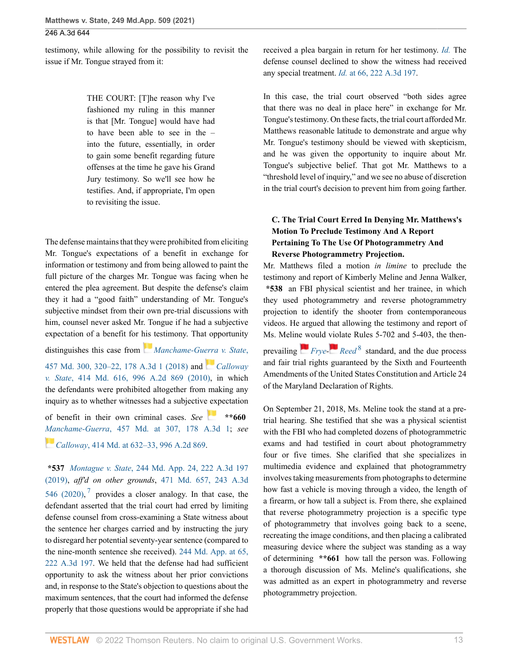testimony, while allowing for the possibility to revisit the issue if Mr. Tongue strayed from it:

> THE COURT: [T]he reason why I've fashioned my ruling in this manner is that [Mr. Tongue] would have had to have been able to see in the – into the future, essentially, in order to gain some benefit regarding future offenses at the time he gave his Grand Jury testimony. So we'll see how he testifies. And, if appropriate, I'm open to revisiting the issue.

The defense maintains that they were prohibited from eliciting Mr. Tongue's expectations of a benefit in exchange for information or testimony and from being allowed to paint the full picture of the charges Mr. Tongue was facing when he entered the plea agreement. But despite the defense's claim they it had a "good faith" understanding of Mr. Tongue's subjective mindset from their own pre-trial discussions with him, counsel never asked Mr. Tongue if he had a subjective expectation of a benefit for [his](https://1.next.westlaw.com/Link/RelatedInformation/Flag?documentGuid=I5592f540009d11e8a964c4b0adba4447&transitionType=InlineKeyCiteFlags&originationContext=docHeaderFlag&Rank=0&ppcid=93364e51ec8e4c5894a3dbbb2784bd30&contextData=(sc.UserEnteredCitation) ) testimony. That opportunity distinguishes this case from *[Manchame-Guerra v. State](http://www.westlaw.com/Link/Document/FullText?findType=Y&serNum=2043659724&pubNum=0000536&originatingDoc=I5321c92077d311eba660be4ce62361b9&refType=RP&fi=co_pp_sp_536_320&originationContext=document&vr=3.0&rs=cblt1.0&transitionType=DocumentItem&contextData=(sc.UserEnteredCitation)#co_pp_sp_536_320)*, [457 Md. 300, 320–22, 178 A.3d 1 \(2018\)](http://www.westlaw.com/Link/Document/FullText?findType=Y&serNum=2043659724&pubNum=0000536&originatingDoc=I5321c92077d311eba660be4ce62361b9&refType=RP&fi=co_pp_sp_536_320&originationContext=document&vr=3.0&rs=cblt1.0&transitionType=DocumentItem&contextData=(sc.UserEnteredCitation)#co_pp_sp_536_320) and *[Calloway](http://www.westlaw.com/Link/Document/FullText?findType=Y&serNum=2022269034&pubNum=0000162&originatingDoc=I5321c92077d311eba660be4ce62361b9&refType=RP&originationContext=document&vr=3.0&rs=cblt1.0&transitionType=DocumentItem&contextData=(sc.UserEnteredCitation))*

*v. State*[, 414 Md. 616, 996 A.2d 869 \(2010\)](http://www.westlaw.com/Link/Document/FullText?findType=Y&serNum=2022269034&pubNum=0000162&originatingDoc=I5321c92077d311eba660be4ce62361b9&refType=RP&originationContext=document&vr=3.0&rs=cblt1.0&transitionType=DocumentItem&contextData=(sc.UserEnteredCitation)), in which the defendants were prohibited altogether from making any inquiry as to whether witnesses had a subjectiv[e exp](https://1.next.westlaw.com/Link/RelatedInformation/Flag?documentGuid=I5592f540009d11e8a964c4b0adba4447&transitionType=InlineKeyCiteFlags&originationContext=docHeaderFlag&Rank=0&ppcid=93364e51ec8e4c5894a3dbbb2784bd30&contextData=(sc.UserEnteredCitation) )ectation

of benefit in their own criminal cases. *See* **\*\*660** *[Ma](https://1.next.westlaw.com/Link/RelatedInformation/Flag?documentGuid=I3ff21e15747211dfa7ada84b8dc24cbf&transitionType=InlineKeyCiteFlags&originationContext=docHeaderFlag&Rank=0&ppcid=93364e51ec8e4c5894a3dbbb2784bd30&contextData=(sc.UserEnteredCitation) )nchame-Guerra*[, 457 Md. at 307, 178 A.3d 1;](http://www.westlaw.com/Link/Document/FullText?findType=Y&serNum=2043659724&pubNum=0000536&originatingDoc=I5321c92077d311eba660be4ce62361b9&refType=RP&fi=co_pp_sp_536_307&originationContext=document&vr=3.0&rs=cblt1.0&transitionType=DocumentItem&contextData=(sc.UserEnteredCitation)#co_pp_sp_536_307) *see Calloway*[, 414 Md. at 632–33, 996 A.2d 869.](http://www.westlaw.com/Link/Document/FullText?findType=Y&serNum=2022269034&pubNum=0000536&originatingDoc=I5321c92077d311eba660be4ce62361b9&refType=RP&fi=co_pp_sp_536_632&originationContext=document&vr=3.0&rs=cblt1.0&transitionType=DocumentItem&contextData=(sc.UserEnteredCitation)#co_pp_sp_536_632)

<span id="page-12-0"></span>**\*537** *Montague v. State*[, 244 Md. App. 24, 222 A.3d 197](http://www.westlaw.com/Link/Document/FullText?findType=Y&serNum=2049906109&pubNum=0007691&originatingDoc=I5321c92077d311eba660be4ce62361b9&refType=RP&originationContext=document&vr=3.0&rs=cblt1.0&transitionType=DocumentItem&contextData=(sc.UserEnteredCitation)) [\(2019\),](http://www.westlaw.com/Link/Document/FullText?findType=Y&serNum=2049906109&pubNum=0007691&originatingDoc=I5321c92077d311eba660be4ce62361b9&refType=RP&originationContext=document&vr=3.0&rs=cblt1.0&transitionType=DocumentItem&contextData=(sc.UserEnteredCitation)) *aff'd on other grounds*, [471 Md. 657, 243 A.3d](http://www.westlaw.com/Link/Document/FullText?findType=Y&serNum=2052628049&pubNum=0007691&originatingDoc=I5321c92077d311eba660be4ce62361b9&refType=RP&originationContext=document&vr=3.0&rs=cblt1.0&transitionType=DocumentItem&contextData=(sc.UserEnteredCitation)) [546 \(2020\)](http://www.westlaw.com/Link/Document/FullText?findType=Y&serNum=2052628049&pubNum=0007691&originatingDoc=I5321c92077d311eba660be4ce62361b9&refType=RP&originationContext=document&vr=3.0&rs=cblt1.0&transitionType=DocumentItem&contextData=(sc.UserEnteredCitation)),  $7$  provides a closer analogy. In that case, the defendant asserted that the trial court had erred by limiting defense counsel from cross-examining a State witness about the sentence her charges carried and by instructing the jury to disregard her potential seventy-year sentence (compared to the nine-month sentence she received). [244 Md. App. at 65,](http://www.westlaw.com/Link/Document/FullText?findType=Y&serNum=2049906109&pubNum=0000537&originatingDoc=I5321c92077d311eba660be4ce62361b9&refType=RP&fi=co_pp_sp_537_65&originationContext=document&vr=3.0&rs=cblt1.0&transitionType=DocumentItem&contextData=(sc.UserEnteredCitation)#co_pp_sp_537_65) [222 A.3d 197](http://www.westlaw.com/Link/Document/FullText?findType=Y&serNum=2049906109&pubNum=0000537&originatingDoc=I5321c92077d311eba660be4ce62361b9&refType=RP&fi=co_pp_sp_537_65&originationContext=document&vr=3.0&rs=cblt1.0&transitionType=DocumentItem&contextData=(sc.UserEnteredCitation)#co_pp_sp_537_65). We held that the defense had had sufficient opportunity to ask the witness about her prior convictions and, in response to the State's objection to questions about the maximum sentences, that the court had informed the defense properly that those questions would be appropriate if she had received a plea bargain in return for her testimony. *[Id.](http://www.westlaw.com/Link/Document/FullText?findType=Y&serNum=2049906109&pubNum=0000537&originatingDoc=I5321c92077d311eba660be4ce62361b9&refType=RP&originationContext=document&vr=3.0&rs=cblt1.0&transitionType=DocumentItem&contextData=(sc.UserEnteredCitation))* The defense counsel declined to show the witness had received any special treatment. *Id.* [at 66, 222 A.3d 197.](http://www.westlaw.com/Link/Document/FullText?findType=Y&serNum=2049906109&pubNum=0007691&originatingDoc=I5321c92077d311eba660be4ce62361b9&refType=RP&originationContext=document&vr=3.0&rs=cblt1.0&transitionType=DocumentItem&contextData=(sc.UserEnteredCitation))

In this case, the trial court observed "both sides agree that there was no deal in place here" in exchange for Mr. Tongue's testimony. On these facts, the trial court afforded Mr. Matthews reasonable latitude to demonstrate and argue why Mr. Tongue's testimony should be viewed with skepticism, and he was given the opportunity to inquire about Mr. Tongue's subjective belief. That got Mr. Matthews to a "threshold level of inquiry," and we see no abuse of discretion in the trial court's decision to prevent him from going farther.

# **C. The Trial Court Erred In Denying Mr. Matthews's Motion To Preclude Testimony And A Report Pertaining To The Use Of Photogrammetry And Reverse Photogrammetry Projection.**

Mr. Matthews filed a motion *in limine* to preclude the testimony and report of Kimberly Meline and Jenna Walker, **\*538** an FBI physical scientist and her trainee, in which they used photogrammetry and reverse photogrammetry projection to identify the shooter from contemporaneous videos. He argued that allowing the testimony and report of Ms. Melin[e w](https://1.next.westlaw.com/Link/RelatedInformation/Flag?documentGuid=Ida93e764546011d997e0acd5cbb90d3f&transitionType=InlineKeyCiteFlags&originationContext=docHeaderFlag&Rank=0&ppcid=93364e51ec8e4c5894a3dbbb2784bd30&contextData=(sc.UserEnteredCitation) )ould [viol](https://1.next.westlaw.com/Link/RelatedInformation/Flag?documentGuid=Ia4f60b45344b11d98b61a35269fc5f88&transitionType=InlineKeyCiteFlags&originationContext=docHeaderFlag&Rank=0&ppcid=93364e51ec8e4c5894a3dbbb2784bd30&contextData=(sc.UserEnteredCitation) )ate Rules 5-702 and 5-403, the thenprevailing *[Frye](http://www.westlaw.com/Link/Document/FullText?findType=Y&serNum=1924122438&originatingDoc=I5321c92077d311eba660be4ce62361b9&refType=RP&originationContext=document&vr=3.0&rs=cblt1.0&transitionType=DocumentItem&contextData=(sc.UserEnteredCitation))- [Reed](http://www.westlaw.com/Link/Document/FullText?findType=Y&serNum=1978116411&originatingDoc=I5321c92077d311eba660be4ce62361b9&refType=RP&originationContext=document&vr=3.0&rs=cblt1.0&transitionType=DocumentItem&contextData=(sc.UserEnteredCitation))* [8](#page-16-5) standard, and the due process and fair trial rights guaranteed by the Sixth and Fourteenth Amendments of the United States Constitution and Article 24 of the Maryland Declaration of Rights.

<span id="page-12-1"></span>On September 21, 2018, Ms. Meline took the stand at a pretrial hearing. She testified that she was a physical scientist with the FBI who had completed dozens of photogrammetric exams and had testified in court about photogrammetry four or five times. She clarified that she specializes in multimedia evidence and explained that photogrammetry involves taking measurements from photographs to determine how fast a vehicle is moving through a video, the length of a firearm, or how tall a subject is. From there, she explained that reverse photogrammetry projection is a specific type of photogrammetry that involves going back to a scene, recreating the image conditions, and then placing a calibrated measuring device where the subject was standing as a way of determining **\*\*661** how tall the person was. Following a thorough discussion of Ms. Meline's qualifications, she was admitted as an expert in photogrammetry and reverse photogrammetry projection.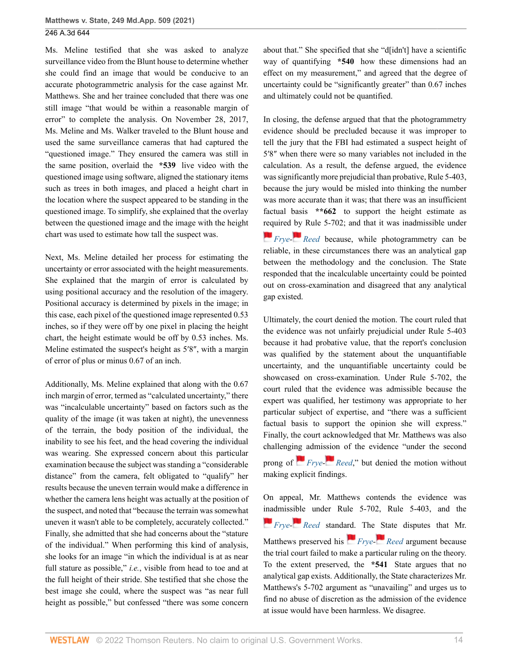Ms. Meline testified that she was asked to analyze surveillance video from the Blunt house to determine whether she could find an image that would be conducive to an accurate photogrammetric analysis for the case against Mr. Matthews. She and her trainee concluded that there was one still image "that would be within a reasonable margin of error" to complete the analysis. On November 28, 2017, Ms. Meline and Ms. Walker traveled to the Blunt house and used the same surveillance cameras that had captured the "questioned image." They ensured the camera was still in the same position, overlaid the **\*539** live video with the questioned image using software, aligned the stationary items such as trees in both images, and placed a height chart in the location where the suspect appeared to be standing in the questioned image. To simplify, she explained that the overlay between the questioned image and the image with the height chart was used to estimate how tall the suspect was.

Next, Ms. Meline detailed her process for estimating the uncertainty or error associated with the height measurements. She explained that the margin of error is calculated by using positional accuracy and the resolution of the imagery. Positional accuracy is determined by pixels in the image; in this case, each pixel of the questioned image represented 0.53 inches, so if they were off by one pixel in placing the height chart, the height estimate would be off by 0.53 inches. Ms. Meline estimated the suspect's height as 5′8″, with a margin of error of plus or minus 0.67 of an inch.

Additionally, Ms. Meline explained that along with the 0.67 inch margin of error, termed as "calculated uncertainty," there was "incalculable uncertainty" based on factors such as the quality of the image (it was taken at night), the unevenness of the terrain, the body position of the individual, the inability to see his feet, and the head covering the individual was wearing. She expressed concern about this particular examination because the subject was standing a "considerable distance" from the camera, felt obligated to "qualify" her results because the uneven terrain would make a difference in whether the camera lens height was actually at the position of the suspect, and noted that "because the terrain was somewhat uneven it wasn't able to be completely, accurately collected." Finally, she admitted that she had concerns about the "stature of the individual." When performing this kind of analysis, she looks for an image "in which the individual is at as near full stature as possible," *i.e.*, visible from head to toe and at the full height of their stride. She testified that she chose the best image she could, where the suspect was "as near full height as possible," but confessed "there was some concern about that." She specified that she "d[idn't] have a scientific way of quantifying **\*540** how these dimensions had an effect on my measurement," and agreed that the degree of uncertainty could be "significantly greater" than 0.67 inches and ultimately could not be quantified.

In closing, the defense argued that that the photogrammetry evidence should be precluded because it was improper to tell the jury that the FBI had estimated a suspect height of 5′8″ when there were so many variables not included in the calculation. As a result, the defense argued, the evidence was significantly more prejudicial than probative, Rule 5-403, because the jury would be misled into thinking the number was more accurate than it was; that there was an insufficient factual basis **\*\*662** to support the height estimate as [requ](https://1.next.westlaw.com/Link/RelatedInformation/Flag?documentGuid=Ida93e764546011d997e0acd5cbb90d3f&transitionType=InlineKeyCiteFlags&originationContext=docHeaderFlag&Rank=0&ppcid=93364e51ec8e4c5894a3dbbb2784bd30&contextData=(sc.UserEnteredCitation) )ired [by](https://1.next.westlaw.com/Link/RelatedInformation/Flag?documentGuid=Ia4f60b45344b11d98b61a35269fc5f88&transitionType=InlineKeyCiteFlags&originationContext=docHeaderFlag&Rank=0&ppcid=93364e51ec8e4c5894a3dbbb2784bd30&contextData=(sc.UserEnteredCitation) ) Rule 5-702; and that it was inadmissible under *[Frye-](http://www.westlaw.com/Link/Document/FullText?findType=Y&serNum=1924122438&originatingDoc=I5321c92077d311eba660be4ce62361b9&refType=RP&originationContext=document&vr=3.0&rs=cblt1.0&transitionType=DocumentItem&contextData=(sc.UserEnteredCitation))[Reed](http://www.westlaw.com/Link/Document/FullText?findType=Y&serNum=1978116411&originatingDoc=I5321c92077d311eba660be4ce62361b9&refType=RP&originationContext=document&vr=3.0&rs=cblt1.0&transitionType=DocumentItem&contextData=(sc.UserEnteredCitation))* because, while photogrammetry can be reliable, in these circumstances there was an analytical gap between the methodology and the conclusion. The State responded that the incalculable uncertainty could be pointed out on cross-examination and disagreed that any analytical gap existed.

Ultimately, the court denied the motion. The court ruled that the evidence was not unfairly prejudicial under Rule 5-403 because it had probative value, that the report's conclusion was qualified by the statement about the unquantifiable uncertainty, and the unquantifiable uncertainty could be showcased on cross-examination. Under Rule 5-702, the court ruled that the evidence was admissible because the expert was qualified, her testimony was appropriate to her particular subject of expertise, and "there was a sufficient factual basis to support the opinion she will express." Finally, the court acknowledged that Mr. Matthews was also challengi[ng a](https://1.next.westlaw.com/Link/RelatedInformation/Flag?documentGuid=Ida93e764546011d997e0acd5cbb90d3f&transitionType=InlineKeyCiteFlags&originationContext=docHeaderFlag&Rank=0&ppcid=93364e51ec8e4c5894a3dbbb2784bd30&contextData=(sc.UserEnteredCitation) )dmi[ssion](https://1.next.westlaw.com/Link/RelatedInformation/Flag?documentGuid=Ia4f60b45344b11d98b61a35269fc5f88&transitionType=InlineKeyCiteFlags&originationContext=docHeaderFlag&Rank=0&ppcid=93364e51ec8e4c5894a3dbbb2784bd30&contextData=(sc.UserEnteredCitation) ) of the evidence "under the second prong of *[Frye-](http://www.westlaw.com/Link/Document/FullText?findType=Y&serNum=1924122438&originatingDoc=I5321c92077d311eba660be4ce62361b9&refType=RP&originationContext=document&vr=3.0&rs=cblt1.0&transitionType=DocumentItem&contextData=(sc.UserEnteredCitation)) [Reed](http://www.westlaw.com/Link/Document/FullText?findType=Y&serNum=1978116411&originatingDoc=I5321c92077d311eba660be4ce62361b9&refType=RP&originationContext=document&vr=3.0&rs=cblt1.0&transitionType=DocumentItem&contextData=(sc.UserEnteredCitation))*," but denied the motion without making explicit findings.

On appeal, Mr. Matthews contends the evidence was [inad](https://1.next.westlaw.com/Link/RelatedInformation/Flag?documentGuid=Ida93e764546011d997e0acd5cbb90d3f&transitionType=InlineKeyCiteFlags&originationContext=docHeaderFlag&Rank=0&ppcid=93364e51ec8e4c5894a3dbbb2784bd30&contextData=(sc.UserEnteredCitation) )mis[sible](https://1.next.westlaw.com/Link/RelatedInformation/Flag?documentGuid=Ia4f60b45344b11d98b61a35269fc5f88&transitionType=InlineKeyCiteFlags&originationContext=docHeaderFlag&Rank=0&ppcid=93364e51ec8e4c5894a3dbbb2784bd30&contextData=(sc.UserEnteredCitation) ) under Rule 5-702, Rule 5-403, and the *[Frye-](http://www.westlaw.com/Link/Document/FullText?findType=Y&serNum=1924122438&originatingDoc=I5321c92077d311eba660be4ce62361b9&refType=RP&originationContext=document&vr=3.0&rs=cblt1.0&transitionType=DocumentItem&contextData=(sc.UserEnteredCitation))* [Reed](http://www.westlaw.com/Link/Document/FullText?findType=Y&serNum=1978116411&originatingDoc=I5321c92077d311eba660be4ce62361b9&refType=RP&originationContext=document&vr=3.0&rs=cblt1.0&transitionType=DocumentItem&contextData=(sc.UserEnteredCitation)) stand[ard.](https://1.next.westlaw.com/Link/RelatedInformation/Flag?documentGuid=Ida93e764546011d997e0acd5cbb90d3f&transitionType=InlineKeyCiteFlags&originationContext=docHeaderFlag&Rank=0&ppcid=93364e51ec8e4c5894a3dbbb2784bd30&contextData=(sc.UserEnteredCitation) ) The [St](https://1.next.westlaw.com/Link/RelatedInformation/Flag?documentGuid=Ia4f60b45344b11d98b61a35269fc5f88&transitionType=InlineKeyCiteFlags&originationContext=docHeaderFlag&Rank=0&ppcid=93364e51ec8e4c5894a3dbbb2784bd30&contextData=(sc.UserEnteredCitation) )ate disputes that Mr. Matthews preserved his *[Frye](http://www.westlaw.com/Link/Document/FullText?findType=Y&serNum=1924122438&originatingDoc=I5321c92077d311eba660be4ce62361b9&refType=RP&originationContext=document&vr=3.0&rs=cblt1.0&transitionType=DocumentItem&contextData=(sc.UserEnteredCitation))- [Reed](http://www.westlaw.com/Link/Document/FullText?findType=Y&serNum=1978116411&originatingDoc=I5321c92077d311eba660be4ce62361b9&refType=RP&originationContext=document&vr=3.0&rs=cblt1.0&transitionType=DocumentItem&contextData=(sc.UserEnteredCitation))* argument because the trial court failed to make a particular ruling on the theory. To the extent preserved, the **\*541** State argues that no analytical gap exists. Additionally, the State characterizes Mr. Matthews's 5-702 argument as "unavailing" and urges us to find no abuse of discretion as the admission of the evidence at issue would have been harmless. We disagree.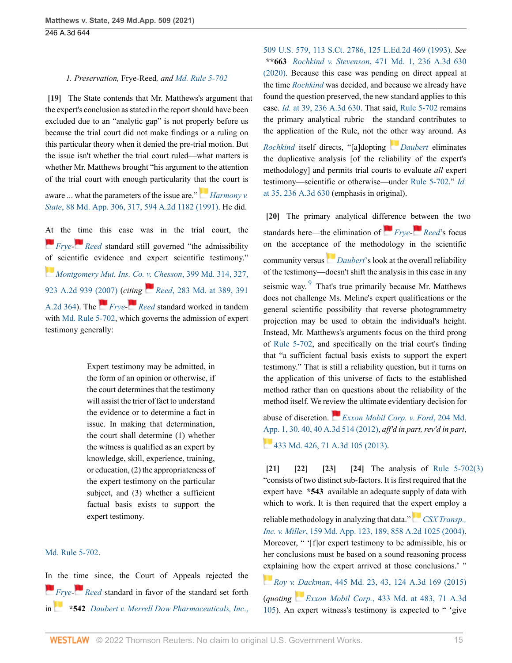#### <span id="page-14-0"></span>*1. Preservation,* Frye-Reed*, and [Md. Rule 5-702](http://www.westlaw.com/Link/Document/FullText?findType=L&pubNum=1007684&cite=MDRREVR5-702&originatingDoc=I5321c92077d311eba660be4ce62361b9&refType=LQ&originationContext=document&vr=3.0&rs=cblt1.0&transitionType=DocumentItem&contextData=(sc.UserEnteredCitation))*

**[\[19\]](#page-2-7)** The State contends that Mr. Matthews's argument that the expert's conclusion as stated in the report should have been excluded due to an "analytic gap" is not properly before us because the trial court did not make findings or a ruling on this particular theory when it denied the pre-trial motion. But the issue isn't whether the trial court ruled—what matters is whether Mr. Matthews brought "his argument to the attention of the trial court with enough particularity t[hat t](https://1.next.westlaw.com/Link/RelatedInformation/Flag?documentGuid=I96488ff334f511d98b61a35269fc5f88&transitionType=InlineKeyCiteFlags&originationContext=docHeaderFlag&Rank=0&ppcid=93364e51ec8e4c5894a3dbbb2784bd30&contextData=(sc.UserEnteredCitation) )he court is

aware ... what the parameters of the issue are." *[Harmony v.](http://www.westlaw.com/Link/Document/FullText?findType=Y&serNum=1991150688&pubNum=0000537&originatingDoc=I5321c92077d311eba660be4ce62361b9&refType=RP&fi=co_pp_sp_537_317&originationContext=document&vr=3.0&rs=cblt1.0&transitionType=DocumentItem&contextData=(sc.UserEnteredCitation)#co_pp_sp_537_317) State*[, 88 Md. App. 306, 317, 594 A.2d 1182 \(1991\)](http://www.westlaw.com/Link/Document/FullText?findType=Y&serNum=1991150688&pubNum=0000537&originatingDoc=I5321c92077d311eba660be4ce62361b9&refType=RP&fi=co_pp_sp_537_317&originationContext=document&vr=3.0&rs=cblt1.0&transitionType=DocumentItem&contextData=(sc.UserEnteredCitation)#co_pp_sp_537_317). He did.

[At](https://1.next.westlaw.com/Link/RelatedInformation/Flag?documentGuid=Ida93e764546011d997e0acd5cbb90d3f&transitionType=InlineKeyCiteFlags&originationContext=docHeaderFlag&Rank=0&ppcid=93364e51ec8e4c5894a3dbbb2784bd30&contextData=(sc.UserEnteredCitation) ) the [tim](https://1.next.westlaw.com/Link/RelatedInformation/Flag?documentGuid=Ia4f60b45344b11d98b61a35269fc5f88&transitionType=InlineKeyCiteFlags&originationContext=docHeaderFlag&Rank=0&ppcid=93364e51ec8e4c5894a3dbbb2784bd30&contextData=(sc.UserEnteredCitation) )e this case was in the trial court, the *[Frye-](http://www.westlaw.com/Link/Document/FullText?findType=Y&serNum=1924122438&originatingDoc=I5321c92077d311eba660be4ce62361b9&refType=RP&originationContext=document&vr=3.0&rs=cblt1.0&transitionType=DocumentItem&contextData=(sc.UserEnteredCitation))* [Reed](http://www.westlaw.com/Link/Document/FullText?findType=Y&serNum=1978116411&originatingDoc=I5321c92077d311eba660be4ce62361b9&refType=RP&originationContext=document&vr=3.0&rs=cblt1.0&transitionType=DocumentItem&contextData=(sc.UserEnteredCitation)) standard still governed "the admissibility" [of](https://1.next.westlaw.com/Link/RelatedInformation/Flag?documentGuid=I48c1483b093711dcaba8d9d29eb57eff&transitionType=InlineKeyCiteFlags&originationContext=docHeaderFlag&Rank=0&ppcid=93364e51ec8e4c5894a3dbbb2784bd30&contextData=(sc.UserEnteredCitation) ) scientific evidence and expert scientific testimony." *[Montgomery Mut. Ins. Co. v. Chesson](http://www.westlaw.com/Link/Document/FullText?findType=Y&serNum=2012308484&pubNum=0000536&originatingDoc=I5321c92077d311eba660be4ce62361b9&refType=RP&fi=co_pp_sp_536_327&originationContext=document&vr=3.0&rs=cblt1.0&transitionType=DocumentItem&contextData=(sc.UserEnteredCitation)#co_pp_sp_536_327)*, 399 Md. 314, 327, [923 A.2d 939 \(2007\)](http://www.westlaw.com/Link/Document/FullText?findType=Y&serNum=2012308484&pubNum=0000536&originatingDoc=I5321c92077d311eba660be4ce62361b9&refType=RP&fi=co_pp_sp_536_327&originationContext=document&vr=3.0&rs=cblt1.0&transitionType=DocumentItem&contextData=(sc.UserEnteredCitation)#co_pp_sp_536_327) (*c[iting](https://1.next.westlaw.com/Link/RelatedInformation/Flag?documentGuid=Ia4f60b45344b11d98b61a35269fc5f88&transitionType=InlineKeyCiteFlags&originationContext=docHeaderFlag&Rank=0&ppcid=93364e51ec8e4c5894a3dbbb2784bd30&contextData=(sc.UserEnteredCitation) ) Reed*[, 283 Md. at 389, 391](http://www.westlaw.com/Link/Document/FullText?findType=Y&serNum=1978116411&pubNum=0000536&originatingDoc=I5321c92077d311eba660be4ce62361b9&refType=RP&fi=co_pp_sp_536_389&originationContext=document&vr=3.0&rs=cblt1.0&transitionType=DocumentItem&contextData=(sc.UserEnteredCitation)#co_pp_sp_536_389) [A.2d 364](http://www.westlaw.com/Link/Document/FullText?findType=Y&serNum=1978116411&pubNum=0000536&originatingDoc=I5321c92077d311eba660be4ce62361b9&refType=RP&fi=co_pp_sp_536_389&originationContext=document&vr=3.0&rs=cblt1.0&transitionType=DocumentItem&contextData=(sc.UserEnteredCitation)#co_pp_sp_536_389)). The *[Frye-](http://www.westlaw.com/Link/Document/FullText?findType=Y&serNum=1924122438&originatingDoc=I5321c92077d311eba660be4ce62361b9&refType=RP&originationContext=document&vr=3.0&rs=cblt1.0&transitionType=DocumentItem&contextData=(sc.UserEnteredCitation)) [Reed](http://www.westlaw.com/Link/Document/FullText?findType=Y&serNum=1978116411&originatingDoc=I5321c92077d311eba660be4ce62361b9&refType=RP&originationContext=document&vr=3.0&rs=cblt1.0&transitionType=DocumentItem&contextData=(sc.UserEnteredCitation))* standard worked in tandem with [Md. Rule 5-702,](http://www.westlaw.com/Link/Document/FullText?findType=L&pubNum=1007684&cite=MDRREVR5-702&originatingDoc=I5321c92077d311eba660be4ce62361b9&refType=LQ&originationContext=document&vr=3.0&rs=cblt1.0&transitionType=DocumentItem&contextData=(sc.UserEnteredCitation)) which governs the admission of expert testimony generally:

> Expert testimony may be admitted, in the form of an opinion or otherwise, if the court determines that the testimony will assist the trier of fact to understand the evidence or to determine a fact in issue. In making that determination, the court shall determine (1) whether the witness is qualified as an expert by knowledge, skill, experience, training, or education, (2) the appropriateness of the expert testimony on the particular subject, and (3) whether a sufficient factual basis exists to support the expert testimony.

#### [Md. Rule 5-702.](http://www.westlaw.com/Link/Document/FullText?findType=L&pubNum=1007684&cite=MDRREVR5-702&originatingDoc=I5321c92077d311eba660be4ce62361b9&refType=LQ&originationContext=document&vr=3.0&rs=cblt1.0&transitionType=DocumentItem&contextData=(sc.UserEnteredCitation))

[In](https://1.next.westlaw.com/Link/RelatedInformation/Flag?documentGuid=Ida93e764546011d997e0acd5cbb90d3f&transitionType=InlineKeyCiteFlags&originationContext=docHeaderFlag&Rank=0&ppcid=93364e51ec8e4c5894a3dbbb2784bd30&contextData=(sc.UserEnteredCitation) ) the [time](https://1.next.westlaw.com/Link/RelatedInformation/Flag?documentGuid=Ia4f60b45344b11d98b61a35269fc5f88&transitionType=InlineKeyCiteFlags&originationContext=docHeaderFlag&Rank=0&ppcid=93364e51ec8e4c5894a3dbbb2784bd30&contextData=(sc.UserEnteredCitation) ) since, the Court of Appeals rejected the *[Frye-](http://www.westlaw.com/Link/Document/FullText?findType=Y&serNum=1924122438&originatingDoc=I5321c92077d311eba660be4ce62361b9&refType=RP&originationContext=document&vr=3.0&rs=cblt1.0&transitionType=DocumentItem&contextData=(sc.UserEnteredCitation))[Reed](http://www.westlaw.com/Link/Document/FullText?findType=Y&serNum=1978116411&originatingDoc=I5321c92077d311eba660be4ce62361b9&refType=RP&originationContext=document&vr=3.0&rs=cblt1.0&transitionType=DocumentItem&contextData=(sc.UserEnteredCitation))* standard in favor of the standard set forth in **\*542** *[Daubert v. Merrell Dow Pharmaceuticals, Inc](http://www.westlaw.com/Link/Document/FullText?findType=Y&serNum=1993130674&pubNum=0000708&originatingDoc=I5321c92077d311eba660be4ce62361b9&refType=RP&originationContext=document&vr=3.0&rs=cblt1.0&transitionType=DocumentItem&contextData=(sc.UserEnteredCitation))*., [509 U.S. 579, 113 S.Ct. 2786, 125 L.Ed.2d 469 \(1993\).](http://www.westlaw.com/Link/Document/FullText?findType=Y&serNum=1993130674&pubNum=0000708&originatingDoc=I5321c92077d311eba660be4ce62361b9&refType=RP&originationContext=document&vr=3.0&rs=cblt1.0&transitionType=DocumentItem&contextData=(sc.UserEnteredCitation)) *See* **\*\*663** *Rochkind v. Stevenson*[, 471 Md. 1, 236 A.3d 630](http://www.westlaw.com/Link/Document/FullText?findType=Y&serNum=2051743389&pubNum=0007691&originatingDoc=I5321c92077d311eba660be4ce62361b9&refType=RP&originationContext=document&vr=3.0&rs=cblt1.0&transitionType=DocumentItem&contextData=(sc.UserEnteredCitation)) [\(2020\).](http://www.westlaw.com/Link/Document/FullText?findType=Y&serNum=2051743389&pubNum=0007691&originatingDoc=I5321c92077d311eba660be4ce62361b9&refType=RP&originationContext=document&vr=3.0&rs=cblt1.0&transitionType=DocumentItem&contextData=(sc.UserEnteredCitation)) Because this case was pending on direct appeal at the time *[Rochkind](http://www.westlaw.com/Link/Document/FullText?findType=Y&serNum=2051743389&pubNum=0000536&originatingDoc=I5321c92077d311eba660be4ce62361b9&refType=RP&originationContext=document&vr=3.0&rs=cblt1.0&transitionType=DocumentItem&contextData=(sc.UserEnteredCitation))* was decided, and because we already have found the question preserved, the new standard applies to this case. *Id.* [at 39, 236 A.3d 630](http://www.westlaw.com/Link/Document/FullText?findType=Y&serNum=2051743389&pubNum=0007691&originatingDoc=I5321c92077d311eba660be4ce62361b9&refType=RP&originationContext=document&vr=3.0&rs=cblt1.0&transitionType=DocumentItem&contextData=(sc.UserEnteredCitation)). That said, [Rule 5-702](http://www.westlaw.com/Link/Document/FullText?findType=L&pubNum=1007684&cite=MDRREVR5-702&originatingDoc=I5321c92077d311eba660be4ce62361b9&refType=LQ&originationContext=document&vr=3.0&rs=cblt1.0&transitionType=DocumentItem&contextData=(sc.UserEnteredCitation)) remains the primary analytical rubric—the standard contributes to the application of the Rule, not the [oth](https://1.next.westlaw.com/Link/RelatedInformation/Flag?documentGuid=Ia094c02a9c9a11d993e6d35cc61aab4a&transitionType=InlineKeyCiteFlags&originationContext=docHeaderFlag&Rank=0&ppcid=93364e51ec8e4c5894a3dbbb2784bd30&contextData=(sc.UserEnteredCitation) )er way around. As *[Rochkind](http://www.westlaw.com/Link/Document/FullText?findType=Y&serNum=2051743389&pubNum=0000536&originatingDoc=I5321c92077d311eba660be4ce62361b9&refType=RP&originationContext=document&vr=3.0&rs=cblt1.0&transitionType=DocumentItem&contextData=(sc.UserEnteredCitation))* itself directs, "[a]dopting *[Daubert](http://www.westlaw.com/Link/Document/FullText?findType=Y&serNum=1993130674&pubNum=0000780&originatingDoc=I5321c92077d311eba660be4ce62361b9&refType=RP&originationContext=document&vr=3.0&rs=cblt1.0&transitionType=DocumentItem&contextData=(sc.UserEnteredCitation))* eliminates the duplicative analysis [of the reliability of the expert's methodology] and permits trial courts to evaluate *all* expert testimony—scientific or otherwise—under [Rule 5-702.](http://www.westlaw.com/Link/Document/FullText?findType=L&pubNum=1007684&cite=MDRREVR5-702&originatingDoc=I5321c92077d311eba660be4ce62361b9&refType=LQ&originationContext=document&vr=3.0&rs=cblt1.0&transitionType=DocumentItem&contextData=(sc.UserEnteredCitation))" *[Id.](http://www.westlaw.com/Link/Document/FullText?findType=Y&serNum=2051743389&pubNum=0007691&originatingDoc=I5321c92077d311eba660be4ce62361b9&refType=RP&originationContext=document&vr=3.0&rs=cblt1.0&transitionType=DocumentItem&contextData=(sc.UserEnteredCitation))* [at 35, 236 A.3d 630](http://www.westlaw.com/Link/Document/FullText?findType=Y&serNum=2051743389&pubNum=0007691&originatingDoc=I5321c92077d311eba660be4ce62361b9&refType=RP&originationContext=document&vr=3.0&rs=cblt1.0&transitionType=DocumentItem&contextData=(sc.UserEnteredCitation)) (emphasis in original).

<span id="page-14-6"></span><span id="page-14-1"></span>**[\[20\]](#page-2-8)** The primary analytical dif[feren](https://1.next.westlaw.com/Link/RelatedInformation/Flag?documentGuid=Ida93e764546011d997e0acd5cbb90d3f&transitionType=InlineKeyCiteFlags&originationContext=docHeaderFlag&Rank=0&ppcid=93364e51ec8e4c5894a3dbbb2784bd30&contextData=(sc.UserEnteredCitation) )ce [betw](https://1.next.westlaw.com/Link/RelatedInformation/Flag?documentGuid=Ia4f60b45344b11d98b61a35269fc5f88&transitionType=InlineKeyCiteFlags&originationContext=docHeaderFlag&Rank=0&ppcid=93364e51ec8e4c5894a3dbbb2784bd30&contextData=(sc.UserEnteredCitation) )een the two standards here—the elimination of *[Frye](http://www.westlaw.com/Link/Document/FullText?findType=Y&serNum=1924122438&originatingDoc=I5321c92077d311eba660be4ce62361b9&refType=RP&originationContext=document&vr=3.0&rs=cblt1.0&transitionType=DocumentItem&contextData=(sc.UserEnteredCitation))- [Reed](http://www.westlaw.com/Link/Document/FullText?findType=Y&serNum=1978116411&originatingDoc=I5321c92077d311eba660be4ce62361b9&refType=RP&originationContext=document&vr=3.0&rs=cblt1.0&transitionType=DocumentItem&contextData=(sc.UserEnteredCitation))*'s focus on the acceptanc[e o](https://1.next.westlaw.com/Link/RelatedInformation/Flag?documentGuid=Ia094c02a9c9a11d993e6d35cc61aab4a&transitionType=InlineKeyCiteFlags&originationContext=docHeaderFlag&Rank=0&ppcid=93364e51ec8e4c5894a3dbbb2784bd30&contextData=(sc.UserEnteredCitation) )f the methodology in the scientific community versus *[Daubert](http://www.westlaw.com/Link/Document/FullText?findType=Y&serNum=1993130674&originatingDoc=I5321c92077d311eba660be4ce62361b9&refType=RP&originationContext=document&vr=3.0&rs=cblt1.0&transitionType=DocumentItem&contextData=(sc.UserEnteredCitation))*'s look at the overall reliability of the testimony—doesn't shift the analysis in this case in any seismic way. <sup>[9](#page-16-6)</sup> That's true primarily because Mr. Matthews does not challenge Ms. Meline's expert qualifications or the general scientific possibility that reverse photogrammetry projection may be used to obtain the individual's height. Instead, Mr. Matthews's arguments focus on the third prong of [Rule 5-702,](http://www.westlaw.com/Link/Document/FullText?findType=L&pubNum=1007684&cite=MDRREVR5-702&originatingDoc=I5321c92077d311eba660be4ce62361b9&refType=LQ&originationContext=document&vr=3.0&rs=cblt1.0&transitionType=DocumentItem&contextData=(sc.UserEnteredCitation)) and specifically on the trial court's finding that "a sufficient factual basis exists to support the expert testimony." That is still a reliability question, but it turns on the application of this universe of facts to the established method rather than on questions about the reliability of the method itself. We re[view](https://1.next.westlaw.com/Link/RelatedInformation/Flag?documentGuid=Iff00d18d565811e1968efb95426dbe9c&transitionType=InlineKeyCiteFlags&originationContext=docHeaderFlag&Rank=0&ppcid=93364e51ec8e4c5894a3dbbb2784bd30&contextData=(sc.UserEnteredCitation) ) the ultimate evidentiary decision for

abuse of discretion. *[Exxon Mobil Corp. v. Ford](http://www.westlaw.com/Link/Document/FullText?findType=Y&serNum=2027079390&pubNum=0000537&originatingDoc=I5321c92077d311eba660be4ce62361b9&refType=RP&fi=co_pp_sp_537_30&originationContext=document&vr=3.0&rs=cblt1.0&transitionType=DocumentItem&contextData=(sc.UserEnteredCitation)#co_pp_sp_537_30)*, 204 Md. [App. 1, 30, 40, 40 A.3d 514 \(2012\),](http://www.westlaw.com/Link/Document/FullText?findType=Y&serNum=2027079390&pubNum=0000537&originatingDoc=I5321c92077d311eba660be4ce62361b9&refType=RP&fi=co_pp_sp_537_30&originationContext=document&vr=3.0&rs=cblt1.0&transitionType=DocumentItem&contextData=(sc.UserEnteredCitation)#co_pp_sp_537_30) *aff'd in part, rev'd in part*, [433 Md. 426, 71 A.3d 105 \(2013\)](http://www.westlaw.com/Link/Document/FullText?findType=Y&serNum=2031273068&pubNum=0007691&originatingDoc=I5321c92077d311eba660be4ce62361b9&refType=RP&originationContext=document&vr=3.0&rs=cblt1.0&transitionType=DocumentItem&contextData=(sc.UserEnteredCitation)).

<span id="page-14-5"></span><span id="page-14-4"></span><span id="page-14-3"></span><span id="page-14-2"></span>**[\[21\]](#page-3-2) [\[22](#page-3-3)] [\[23\]](#page-3-4) [\[24\]](#page-3-5)** The analysis of [Rule 5-702\(3\)](http://www.westlaw.com/Link/Document/FullText?findType=L&pubNum=1007684&cite=MDRREVR5-702&originatingDoc=I5321c92077d311eba660be4ce62361b9&refType=LQ&originationContext=document&vr=3.0&rs=cblt1.0&transitionType=DocumentItem&contextData=(sc.UserEnteredCitation)) "consists of two distinct sub-factors. It is first required that the expert have **\*543** available an adequate supply of data with which to work. It is then required that the [exp](https://1.next.westlaw.com/Link/RelatedInformation/Flag?documentGuid=Iea692ed7331211d986b0aa9c82c164c0&transitionType=InlineKeyCiteFlags&originationContext=docHeaderFlag&Rank=0&ppcid=93364e51ec8e4c5894a3dbbb2784bd30&contextData=(sc.UserEnteredCitation) )ert employ a

reliable methodology in analyzing that data." *[CSX Transp.,](http://www.westlaw.com/Link/Document/FullText?findType=Y&serNum=2005202108&pubNum=0000537&originatingDoc=I5321c92077d311eba660be4ce62361b9&refType=RP&fi=co_pp_sp_537_189&originationContext=document&vr=3.0&rs=cblt1.0&transitionType=DocumentItem&contextData=(sc.UserEnteredCitation)#co_pp_sp_537_189) Inc. v. Miller*[, 159 Md. App. 123, 189, 858 A.2d 1025 \(2004\).](http://www.westlaw.com/Link/Document/FullText?findType=Y&serNum=2005202108&pubNum=0000537&originatingDoc=I5321c92077d311eba660be4ce62361b9&refType=RP&fi=co_pp_sp_537_189&originationContext=document&vr=3.0&rs=cblt1.0&transitionType=DocumentItem&contextData=(sc.UserEnteredCitation)#co_pp_sp_537_189) Moreover, " '[f]or expert testimony to be admissible, his or her conclusions must be based on a sound reasoning process [exp](https://1.next.westlaw.com/Link/RelatedInformation/Flag?documentGuid=Ic7d0d615752511e5b86bd602cb8781fa&transitionType=InlineKeyCiteFlags&originationContext=docHeaderFlag&Rank=0&ppcid=93364e51ec8e4c5894a3dbbb2784bd30&contextData=(sc.UserEnteredCitation) )laining how the expert arrived at those conclusions.' "

*Roy v. Dackman*[, 445 Md. 23, 43, 124 A.3d 169 \(2015\)](http://www.westlaw.com/Link/Document/FullText?findType=Y&serNum=2037402975&pubNum=0000536&originatingDoc=I5321c92077d311eba660be4ce62361b9&refType=RP&fi=co_pp_sp_536_43&originationContext=document&vr=3.0&rs=cblt1.0&transitionType=DocumentItem&contextData=(sc.UserEnteredCitation)#co_pp_sp_536_43) (*quoting [E](https://1.next.westlaw.com/Link/RelatedInformation/Flag?documentGuid=I99f84d1a042311e38503bda794601919&transitionType=InlineKeyCiteFlags&originationContext=docHeaderFlag&Rank=0&ppcid=93364e51ec8e4c5894a3dbbb2784bd30&contextData=(sc.UserEnteredCitation) )xxon Mobil Corp.*[, 433 Md. at 483, 71 A.3d](http://www.westlaw.com/Link/Document/FullText?findType=Y&serNum=2031273068&pubNum=0000536&originatingDoc=I5321c92077d311eba660be4ce62361b9&refType=RP&fi=co_pp_sp_536_483&originationContext=document&vr=3.0&rs=cblt1.0&transitionType=DocumentItem&contextData=(sc.UserEnteredCitation)#co_pp_sp_536_483) [105](http://www.westlaw.com/Link/Document/FullText?findType=Y&serNum=2031273068&pubNum=0000536&originatingDoc=I5321c92077d311eba660be4ce62361b9&refType=RP&fi=co_pp_sp_536_483&originationContext=document&vr=3.0&rs=cblt1.0&transitionType=DocumentItem&contextData=(sc.UserEnteredCitation)#co_pp_sp_536_483)). An expert witness's testimony is expected to " 'give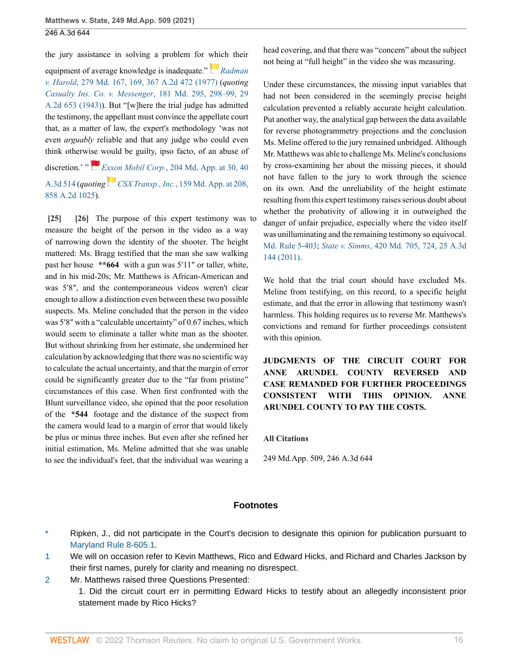the jury assistance in solving a problem for [whi](https://1.next.westlaw.com/Link/RelatedInformation/Flag?documentGuid=I6e9aaf14344111d986b0aa9c82c164c0&transitionType=InlineKeyCiteFlags&originationContext=docHeaderFlag&Rank=0&ppcid=93364e51ec8e4c5894a3dbbb2784bd30&contextData=(sc.UserEnteredCitation) )ch their

equipment of average knowledge is inadequate." *[Radman](http://www.westlaw.com/Link/Document/FullText?findType=Y&serNum=1977101090&pubNum=0000536&originatingDoc=I5321c92077d311eba660be4ce62361b9&refType=RP&fi=co_pp_sp_536_169&originationContext=document&vr=3.0&rs=cblt1.0&transitionType=DocumentItem&contextData=(sc.UserEnteredCitation)#co_pp_sp_536_169) v. Harold*[, 279 Md. 167, 169, 367 A.2d 472 \(1977\)](http://www.westlaw.com/Link/Document/FullText?findType=Y&serNum=1977101090&pubNum=0000536&originatingDoc=I5321c92077d311eba660be4ce62361b9&refType=RP&fi=co_pp_sp_536_169&originationContext=document&vr=3.0&rs=cblt1.0&transitionType=DocumentItem&contextData=(sc.UserEnteredCitation)#co_pp_sp_536_169) (*quoting [Casualty Ins. Co. v. Messenger](http://www.westlaw.com/Link/Document/FullText?findType=Y&serNum=1943112156&pubNum=0000536&originatingDoc=I5321c92077d311eba660be4ce62361b9&refType=RP&fi=co_pp_sp_536_298&originationContext=document&vr=3.0&rs=cblt1.0&transitionType=DocumentItem&contextData=(sc.UserEnteredCitation)#co_pp_sp_536_298)*, 181 Md. 295, 298–99, 29 [A.2d 653 \(1943\)](http://www.westlaw.com/Link/Document/FullText?findType=Y&serNum=1943112156&pubNum=0000536&originatingDoc=I5321c92077d311eba660be4ce62361b9&refType=RP&fi=co_pp_sp_536_298&originationContext=document&vr=3.0&rs=cblt1.0&transitionType=DocumentItem&contextData=(sc.UserEnteredCitation)#co_pp_sp_536_298)). But "[w]here the trial judge has admitted the testimony, the appellant must convince the appellate court that, as a matter of law, the expert's methodology 'was not even *arguably* reliable and that any judge who could even think otherwi[se w](https://1.next.westlaw.com/Link/RelatedInformation/Flag?documentGuid=Iff00d18d565811e1968efb95426dbe9c&transitionType=InlineKeyCiteFlags&originationContext=docHeaderFlag&Rank=0&ppcid=93364e51ec8e4c5894a3dbbb2784bd30&contextData=(sc.UserEnteredCitation) )ould be guilty, ipso facto, of an abuse of

discretion.<sup>'</sup> " *Exxon Mobil Corp.*[, 204 Md. App. at 30, 40](http://www.westlaw.com/Link/Document/FullText?findType=Y&serNum=2027079390&pubNum=0000537&originatingDoc=I5321c92077d311eba660be4ce62361b9&refType=RP&fi=co_pp_sp_537_30&originationContext=document&vr=3.0&rs=cblt1.0&transitionType=DocumentItem&contextData=(sc.UserEnteredCitation)#co_pp_sp_537_30) [A.3d 514](http://www.westlaw.com/Link/Document/FullText?findType=Y&serNum=2027079390&pubNum=0000537&originatingDoc=I5321c92077d311eba660be4ce62361b9&refType=RP&fi=co_pp_sp_537_30&originationContext=document&vr=3.0&rs=cblt1.0&transitionType=DocumentItem&contextData=(sc.UserEnteredCitation)#co_pp_sp_537_30) (*quoting [C](https://1.next.westlaw.com/Link/RelatedInformation/Flag?documentGuid=Iea692ed7331211d986b0aa9c82c164c0&transitionType=InlineKeyCiteFlags&originationContext=docHeaderFlag&Rank=0&ppcid=93364e51ec8e4c5894a3dbbb2784bd30&contextData=(sc.UserEnteredCitation) )SX Transp., Inc.*[, 159 Md. App. at 208,](http://www.westlaw.com/Link/Document/FullText?findType=Y&serNum=2005202108&pubNum=0000537&originatingDoc=I5321c92077d311eba660be4ce62361b9&refType=RP&fi=co_pp_sp_537_208&originationContext=document&vr=3.0&rs=cblt1.0&transitionType=DocumentItem&contextData=(sc.UserEnteredCitation)#co_pp_sp_537_208) [858 A.2d 1025\)](http://www.westlaw.com/Link/Document/FullText?findType=Y&serNum=2005202108&pubNum=0000537&originatingDoc=I5321c92077d311eba660be4ce62361b9&refType=RP&fi=co_pp_sp_537_208&originationContext=document&vr=3.0&rs=cblt1.0&transitionType=DocumentItem&contextData=(sc.UserEnteredCitation)#co_pp_sp_537_208).

<span id="page-15-1"></span><span id="page-15-0"></span>**[\[25\]](#page-3-0) [\[26\]](#page-3-1)** The purpose of this expert testimony was to measure the height of the person in the video as a way of narrowing down the identity of the shooter. The height mattered: Ms. Bragg testified that the man she saw walking past her house **\*\*664** with a gun was 5′11″ or taller, white, and in his mid-20s; Mr. Matthews is African-American and was 5′8″, and the contemporaneous videos weren't clear enough to allow a distinction even between these two possible suspects. Ms. Meline concluded that the person in the video was 5'8" with a "calculable uncertainty" of 0.67 inches, which would seem to eliminate a taller white man as the shooter. But without shrinking from her estimate, she undermined her calculation by acknowledging that there was no scientific way to calculate the actual uncertainty, and that the margin of error could be significantly greater due to the "far from pristine" circumstances of this case. When first confronted with the Blunt surveillance video, she opined that the poor resolution of the **\*544** footage and the distance of the suspect from the camera would lead to a margin of error that would likely be plus or minus three inches. But even after she refined her initial estimation, Ms. Meline admitted that she was unable to see the individual's feet, that the individual was wearing a

head covering, and that there was "concern" about the subject not being at "full height" in the video she was measuring.

Under these circumstances, the missing input variables that had not been considered in the seemingly precise height calculation prevented a reliably accurate height calculation. Put another way, the analytical gap between the data available for reverse photogrammetry projections and the conclusion Ms. Meline offered to the jury remained unbridged. Although Mr. Matthews was able to challenge Ms. Meline's conclusions by cross-examining her about the missing pieces, it should not have fallen to the jury to work through the science on its own. And the unreliability of the height estimate resulting from this expert testimony raises serious doubt about whether the probativity of allowing it in outweighed the danger of unfair prejudice, especially where the video itself was unilluminating and the remaining testimony so equivocal. [Md. Rule 5-403](http://www.westlaw.com/Link/Document/FullText?findType=L&pubNum=1007684&cite=MDRREVR5-403&originatingDoc=I5321c92077d311eba660be4ce62361b9&refType=LQ&originationContext=document&vr=3.0&rs=cblt1.0&transitionType=DocumentItem&contextData=(sc.UserEnteredCitation)); *State v. Simms*[, 420 Md. 705, 724, 25 A.3d](http://www.westlaw.com/Link/Document/FullText?findType=Y&serNum=2025665202&pubNum=0000536&originatingDoc=I5321c92077d311eba660be4ce62361b9&refType=RP&fi=co_pp_sp_536_724&originationContext=document&vr=3.0&rs=cblt1.0&transitionType=DocumentItem&contextData=(sc.UserEnteredCitation)#co_pp_sp_536_724) [144 \(2011\).](http://www.westlaw.com/Link/Document/FullText?findType=Y&serNum=2025665202&pubNum=0000536&originatingDoc=I5321c92077d311eba660be4ce62361b9&refType=RP&fi=co_pp_sp_536_724&originationContext=document&vr=3.0&rs=cblt1.0&transitionType=DocumentItem&contextData=(sc.UserEnteredCitation)#co_pp_sp_536_724)

We hold that the trial court should have excluded Ms. Meline from testifying, on this record, to a specific height estimate, and that the error in allowing that testimony wasn't harmless. This holding requires us to reverse Mr. Matthews's convictions and remand for further proceedings consistent with this opinion.

**JUDGMENTS OF THE CIRCUIT COURT FOR ANNE ARUNDEL COUNTY REVERSED AND CASE REMANDED FOR FURTHER PROCEEDINGS CONSISTENT WITH THIS OPINION. ANNE ARUNDEL COUNTY TO PAY THE COSTS.**

## **All Citations**

249 Md.App. 509, 246 A.3d 644

## **Footnotes**

- <span id="page-15-2"></span>Ripken, J., did not participate in the Court's decision to designate this opinion for publication pursuant to [Maryland Rule 8-605.1](http://www.westlaw.com/Link/Document/FullText?findType=L&pubNum=1007687&cite=MDRCTSPAR8-605.1&originatingDoc=I5321c92077d311eba660be4ce62361b9&refType=LQ&originationContext=document&vr=3.0&rs=cblt1.0&transitionType=DocumentItem&contextData=(sc.UserEnteredCitation)).
- <span id="page-15-3"></span>[1](#page-5-0) We will on occasion refer to Kevin Matthews, Rico and Edward Hicks, and Richard and Charles Jackson by their first names, purely for clarity and meaning no disrespect.
- <span id="page-15-4"></span>[2](#page-7-0) Mr. Matthews raised three Questions Presented:
	- 1. Did the circuit court err in permitting Edward Hicks to testify about an allegedly inconsistent prior statement made by Rico Hicks?